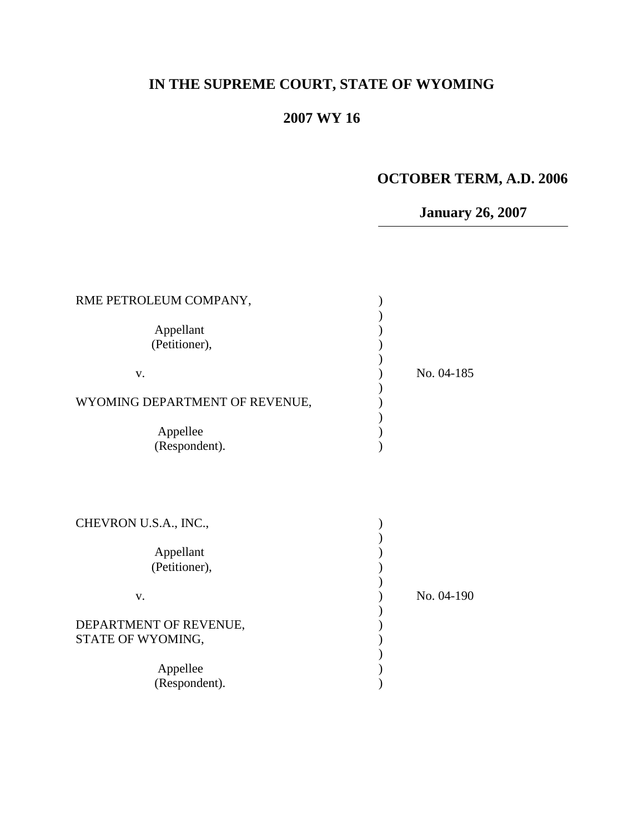# **IN THE SUPREME COURT, STATE OF WYOMING**

# **2007 WY 16**

## **OCTOBER TERM, A.D. 2006**

**January 26, 2007**

| RME PETROLEUM COMPANY,<br>Appellant<br>(Petitioner),<br>V.<br>WYOMING DEPARTMENT OF REVENUE,<br>Appellee | No. 04-185 |
|----------------------------------------------------------------------------------------------------------|------------|
| (Respondent).                                                                                            |            |
| CHEVRON U.S.A., INC.,                                                                                    |            |
| Appellant                                                                                                |            |
| (Petitioner),                                                                                            |            |
| V.                                                                                                       | No. 04-190 |
| DEPARTMENT OF REVENUE,                                                                                   |            |
| STATE OF WYOMING,                                                                                        |            |
| Appellee                                                                                                 |            |
| (Respondent).                                                                                            |            |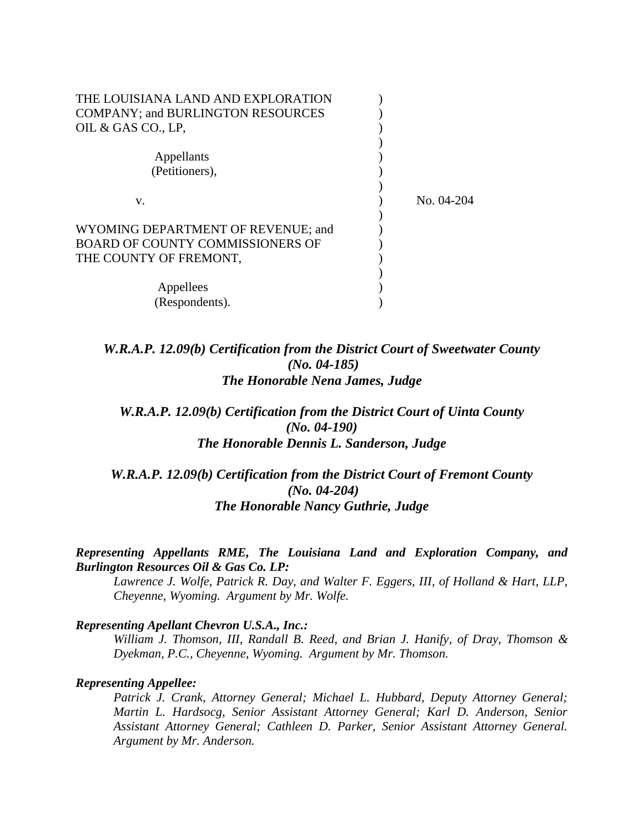| THE LOUISIANA LAND AND EXPLORATION<br><b>COMPANY; and BURLINGTON RESOURCES</b><br>OIL & GAS CO., LP. |            |
|------------------------------------------------------------------------------------------------------|------------|
| Appellants<br>(Petitioners),                                                                         |            |
|                                                                                                      |            |
| V.                                                                                                   | No. 04-204 |
| WYOMING DEPARTMENT OF REVENUE; and                                                                   |            |
| <b>BOARD OF COUNTY COMMISSIONERS OF</b><br>THE COUNTY OF FREMONT,                                    |            |
|                                                                                                      |            |
| Appellees                                                                                            |            |
| (Respondents).                                                                                       |            |

*W.R.A.P. 12.09(b) Certification from the District Court of Sweetwater County (No. 04-185) The Honorable Nena James, Judge*

*W.R.A.P. 12.09(b) Certification from the District Court of Uinta County (No. 04-190) The Honorable Dennis L. Sanderson, Judge*

*W.R.A.P. 12.09(b) Certification from the District Court of Fremont County (No. 04-204) The Honorable Nancy Guthrie, Judge*

#### *Representing Appellants RME, The Louisiana Land and Exploration Company, and Burlington Resources Oil & Gas Co. LP:*

*Lawrence J. Wolfe, Patrick R. Day, and Walter F. Eggers, III, of Holland & Hart, LLP, Cheyenne, Wyoming. Argument by Mr. Wolfe.*

#### *Representing Apellant Chevron U.S.A., Inc.:*

*William J. Thomson, III, Randall B. Reed, and Brian J. Hanify, of Dray, Thomson & Dyekman, P.C., Cheyenne, Wyoming. Argument by Mr. Thomson.*

#### *Representing Appellee:*

*Patrick J. Crank, Attorney General; Michael L. Hubbard, Deputy Attorney General; Martin L. Hardsocg, Senior Assistant Attorney General; Karl D. Anderson, Senior Assistant Attorney General; Cathleen D. Parker, Senior Assistant Attorney General. Argument by Mr. Anderson.*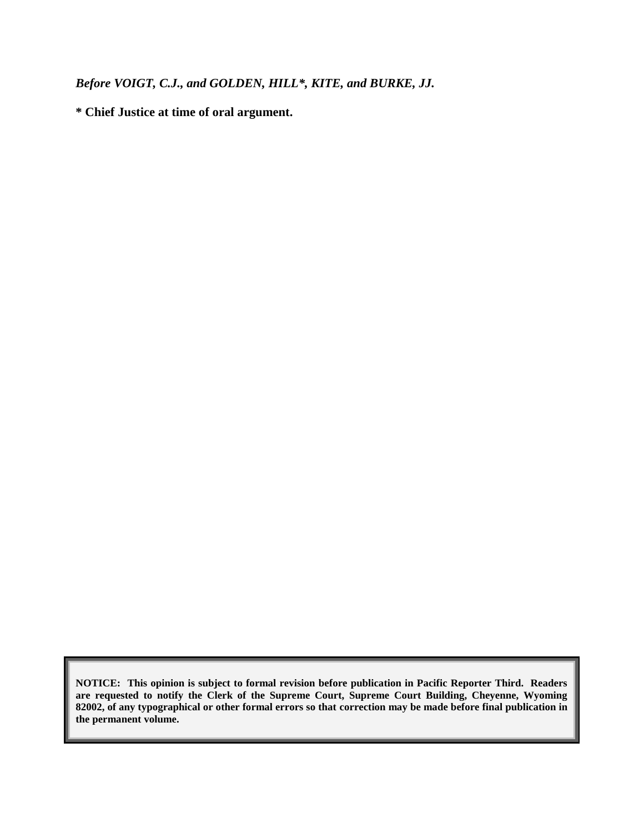*Before VOIGT, C.J., and GOLDEN, HILL\*, KITE, and BURKE, JJ.*

**\* Chief Justice at time of oral argument.**

**NOTICE: This opinion is subject to formal revision before publication in Pacific Reporter Third. Readers are requested to notify the Clerk of the Supreme Court, Supreme Court Building, Cheyenne, Wyoming 82002, of any typographical or other formal errors so that correction may be made before final publication in the permanent volume.**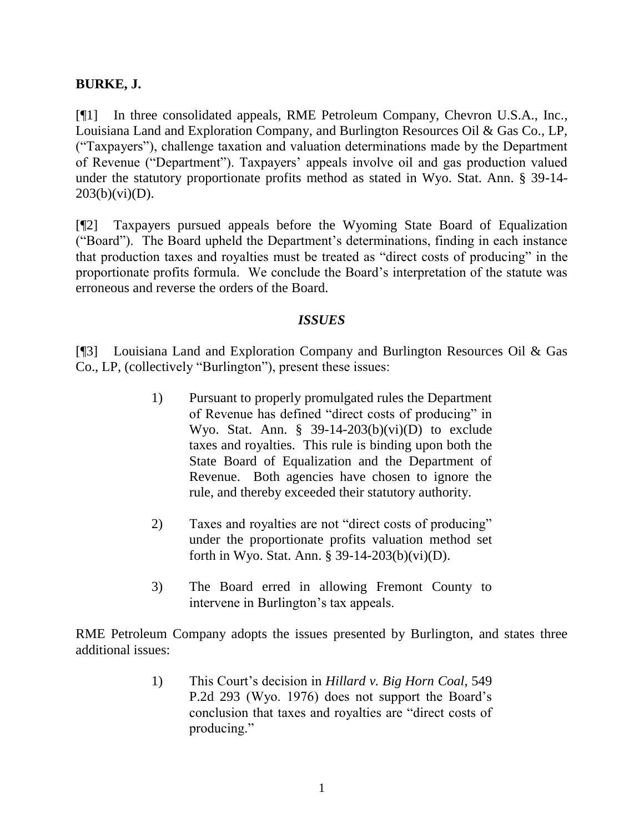## **BURKE, J.**

[¶1] In three consolidated appeals, RME Petroleum Company, Chevron U.S.A., Inc., Louisiana Land and Exploration Company, and Burlington Resources Oil & Gas Co., LP, ("Taxpayers"), challenge taxation and valuation determinations made by the Department of Revenue ("Department"). Taxpayers" appeals involve oil and gas production valued under the statutory proportionate profits method as stated in Wyo. Stat. Ann. § 39-14-  $203(b)(vi)(D)$ .

[¶2] Taxpayers pursued appeals before the Wyoming State Board of Equalization ("Board"). The Board upheld the Department"s determinations, finding in each instance that production taxes and royalties must be treated as "direct costs of producing" in the proportionate profits formula. We conclude the Board"s interpretation of the statute was erroneous and reverse the orders of the Board.

### *ISSUES*

[¶3] Louisiana Land and Exploration Company and Burlington Resources Oil & Gas Co., LP, (collectively "Burlington"), present these issues:

- 1) Pursuant to properly promulgated rules the Department of Revenue has defined "direct costs of producing" in Wyo. Stat. Ann.  $\S$  39-14-203(b)(vi)(D) to exclude taxes and royalties. This rule is binding upon both the State Board of Equalization and the Department of Revenue. Both agencies have chosen to ignore the rule, and thereby exceeded their statutory authority.
- 2) Taxes and royalties are not "direct costs of producing" under the proportionate profits valuation method set forth in Wyo. Stat. Ann. § 39-14-203(b)(vi)(D).
- 3) The Board erred in allowing Fremont County to intervene in Burlington's tax appeals.

RME Petroleum Company adopts the issues presented by Burlington, and states three additional issues:

> 1) This Court"s decision in *Hillard v. Big Horn Coal*, 549 P.2d 293 (Wyo. 1976) does not support the Board's conclusion that taxes and royalties are "direct costs of producing."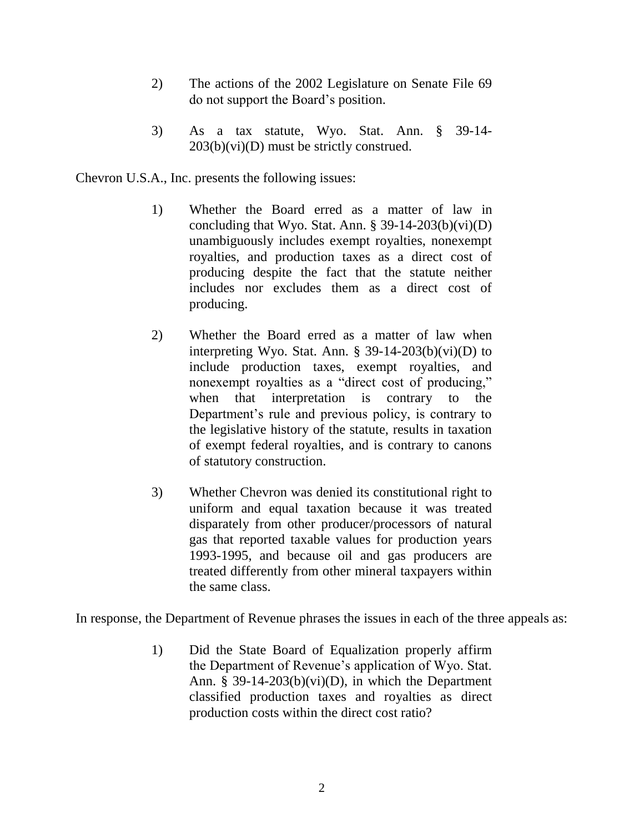- 2) The actions of the 2002 Legislature on Senate File 69 do not support the Board"s position.
- 3) As a tax statute, Wyo. Stat. Ann. § 39-14-  $203(b)(vi)(D)$  must be strictly construed.

Chevron U.S.A., Inc. presents the following issues:

- 1) Whether the Board erred as a matter of law in concluding that Wyo. Stat. Ann.  $\S$  39-14-203(b)(vi)(D) unambiguously includes exempt royalties, nonexempt royalties, and production taxes as a direct cost of producing despite the fact that the statute neither includes nor excludes them as a direct cost of producing.
- 2) Whether the Board erred as a matter of law when interpreting Wyo. Stat. Ann.  $\S$  39-14-203(b)(vi)(D) to include production taxes, exempt royalties, and nonexempt royalties as a "direct cost of producing," when that interpretation is contrary to the Department's rule and previous policy, is contrary to the legislative history of the statute, results in taxation of exempt federal royalties, and is contrary to canons of statutory construction.
- 3) Whether Chevron was denied its constitutional right to uniform and equal taxation because it was treated disparately from other producer/processors of natural gas that reported taxable values for production years 1993-1995, and because oil and gas producers are treated differently from other mineral taxpayers within the same class.

In response, the Department of Revenue phrases the issues in each of the three appeals as:

1) Did the State Board of Equalization properly affirm the Department of Revenue"s application of Wyo. Stat. Ann. § 39-14-203(b)(vi)(D), in which the Department classified production taxes and royalties as direct production costs within the direct cost ratio?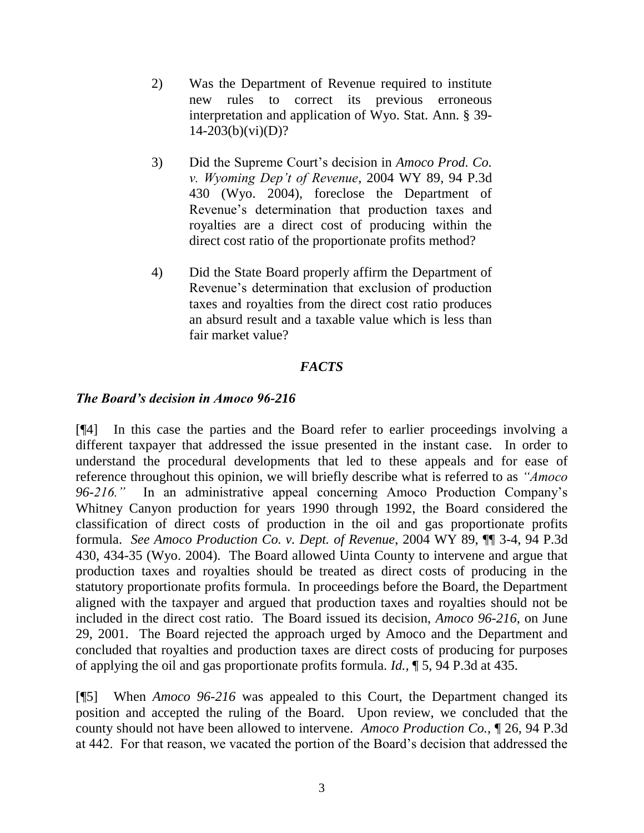- 2) Was the Department of Revenue required to institute new rules to correct its previous erroneous interpretation and application of Wyo. Stat. Ann. § 39-  $14-203(b)(vi)(D)?$
- 3) Did the Supreme Court"s decision in *Amoco Prod. Co. v. Wyoming Dep't of Revenue*, 2004 WY 89, 94 P.3d 430 (Wyo. 2004), foreclose the Department of Revenue's determination that production taxes and royalties are a direct cost of producing within the direct cost ratio of the proportionate profits method?
- 4) Did the State Board properly affirm the Department of Revenue"s determination that exclusion of production taxes and royalties from the direct cost ratio produces an absurd result and a taxable value which is less than fair market value?

## *FACTS*

### *The Board's decision in Amoco 96-216*

[¶4] In this case the parties and the Board refer to earlier proceedings involving a different taxpayer that addressed the issue presented in the instant case. In order to understand the procedural developments that led to these appeals and for ease of reference throughout this opinion, we will briefly describe what is referred to as *"Amoco 96-216."* In an administrative appeal concerning Amoco Production Company"s Whitney Canyon production for years 1990 through 1992, the Board considered the classification of direct costs of production in the oil and gas proportionate profits formula. *See Amoco Production Co. v. Dept. of Revenue*, 2004 WY 89, ¶¶ 3-4, 94 P.3d 430, 434-35 (Wyo. 2004). The Board allowed Uinta County to intervene and argue that production taxes and royalties should be treated as direct costs of producing in the statutory proportionate profits formula. In proceedings before the Board, the Department aligned with the taxpayer and argued that production taxes and royalties should not be included in the direct cost ratio. The Board issued its decision, *Amoco 96-216*, on June 29, 2001. The Board rejected the approach urged by Amoco and the Department and concluded that royalties and production taxes are direct costs of producing for purposes of applying the oil and gas proportionate profits formula. *Id.,* ¶ 5, 94 P.3d at 435.

[¶5] When *Amoco 96-216* was appealed to this Court, the Department changed its position and accepted the ruling of the Board. Upon review, we concluded that the county should not have been allowed to intervene. *Amoco Production Co.*, ¶ 26, 94 P.3d at 442. For that reason, we vacated the portion of the Board"s decision that addressed the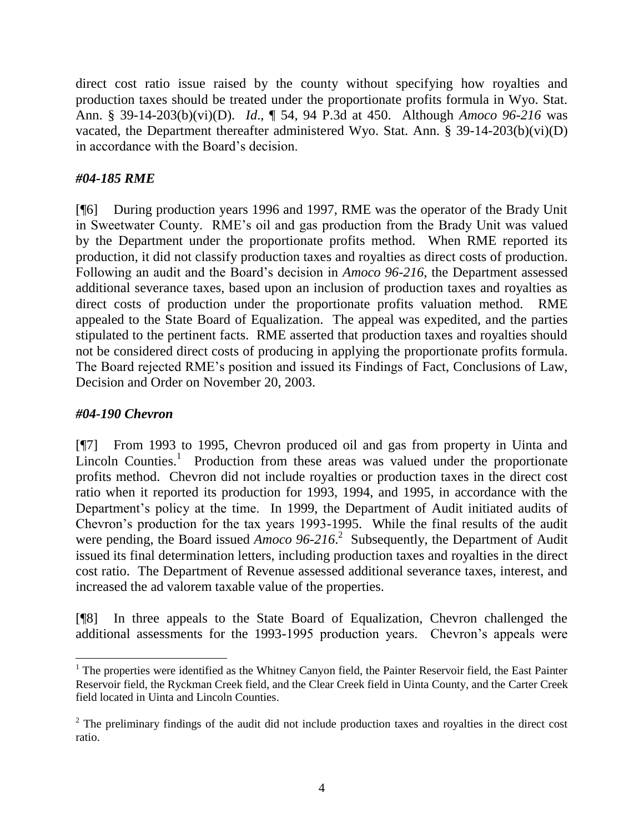direct cost ratio issue raised by the county without specifying how royalties and production taxes should be treated under the proportionate profits formula in Wyo. Stat. Ann. § 39-14-203(b)(vi)(D). *Id*., ¶ 54, 94 P.3d at 450. Although *Amoco 96-216* was vacated, the Department thereafter administered Wyo. Stat. Ann. § 39-14-203(b)(vi)(D) in accordance with the Board"s decision.

## *#04-185 RME*

[¶6] During production years 1996 and 1997, RME was the operator of the Brady Unit in Sweetwater County. RME"s oil and gas production from the Brady Unit was valued by the Department under the proportionate profits method. When RME reported its production, it did not classify production taxes and royalties as direct costs of production. Following an audit and the Board"s decision in *Amoco 96-216*, the Department assessed additional severance taxes, based upon an inclusion of production taxes and royalties as direct costs of production under the proportionate profits valuation method. RME appealed to the State Board of Equalization. The appeal was expedited, and the parties stipulated to the pertinent facts. RME asserted that production taxes and royalties should not be considered direct costs of producing in applying the proportionate profits formula. The Board rejected RME"s position and issued its Findings of Fact, Conclusions of Law, Decision and Order on November 20, 2003.

## *#04-190 Chevron*

 $\overline{a}$ 

[¶7] From 1993 to 1995, Chevron produced oil and gas from property in Uinta and Lincoln Counties.<sup>1</sup> Production from these areas was valued under the proportionate profits method. Chevron did not include royalties or production taxes in the direct cost ratio when it reported its production for 1993, 1994, and 1995, in accordance with the Department's policy at the time. In 1999, the Department of Audit initiated audits of Chevron"s production for the tax years 1993-1995. While the final results of the audit were pending, the Board issued *Amoco 96-216*<sup>2</sup> Subsequently, the Department of Audit issued its final determination letters, including production taxes and royalties in the direct cost ratio. The Department of Revenue assessed additional severance taxes, interest, and increased the ad valorem taxable value of the properties.

[¶8] In three appeals to the State Board of Equalization, Chevron challenged the additional assessments for the 1993-1995 production years. Chevron's appeals were

 $1$  The properties were identified as the Whitney Canyon field, the Painter Reservoir field, the East Painter Reservoir field, the Ryckman Creek field, and the Clear Creek field in Uinta County, and the Carter Creek field located in Uinta and Lincoln Counties.

 $2^2$  The preliminary findings of the audit did not include production taxes and royalties in the direct cost ratio.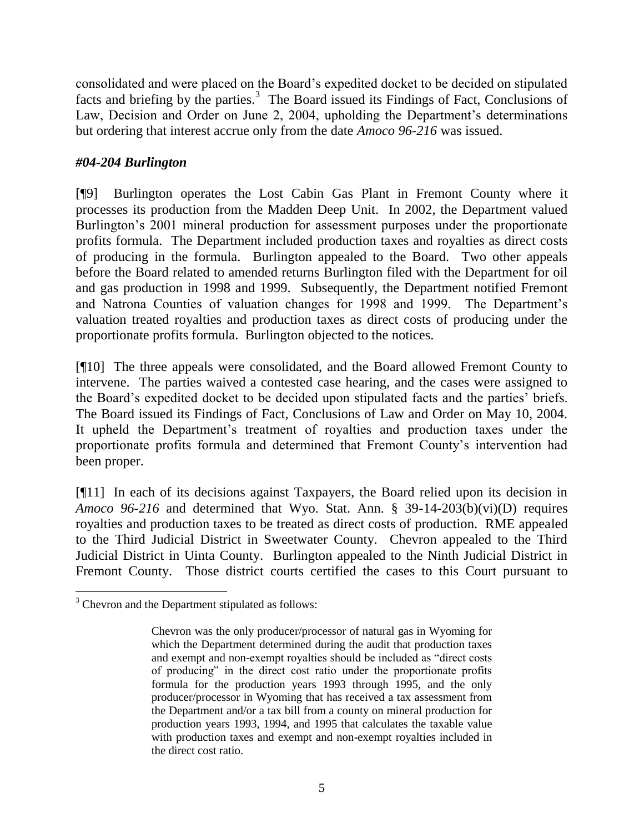consolidated and were placed on the Board"s expedited docket to be decided on stipulated facts and briefing by the parties.<sup>3</sup> The Board issued its Findings of Fact, Conclusions of Law, Decision and Order on June 2, 2004, upholding the Department's determinations but ordering that interest accrue only from the date *Amoco 96-216* was issued.

## *#04-204 Burlington*

[¶9] Burlington operates the Lost Cabin Gas Plant in Fremont County where it processes its production from the Madden Deep Unit. In 2002, the Department valued Burlington's 2001 mineral production for assessment purposes under the proportionate profits formula. The Department included production taxes and royalties as direct costs of producing in the formula. Burlington appealed to the Board. Two other appeals before the Board related to amended returns Burlington filed with the Department for oil and gas production in 1998 and 1999. Subsequently, the Department notified Fremont and Natrona Counties of valuation changes for 1998 and 1999. The Department"s valuation treated royalties and production taxes as direct costs of producing under the proportionate profits formula. Burlington objected to the notices.

[¶10] The three appeals were consolidated, and the Board allowed Fremont County to intervene. The parties waived a contested case hearing, and the cases were assigned to the Board"s expedited docket to be decided upon stipulated facts and the parties" briefs. The Board issued its Findings of Fact, Conclusions of Law and Order on May 10, 2004. It upheld the Department"s treatment of royalties and production taxes under the proportionate profits formula and determined that Fremont County"s intervention had been proper.

[¶11] In each of its decisions against Taxpayers, the Board relied upon its decision in *Amoco 96-216* and determined that Wyo. Stat. Ann. § 39-14-203(b)(vi)(D) requires royalties and production taxes to be treated as direct costs of production. RME appealed to the Third Judicial District in Sweetwater County. Chevron appealed to the Third Judicial District in Uinta County. Burlington appealed to the Ninth Judicial District in Fremont County. Those district courts certified the cases to this Court pursuant to

 $\overline{a}$ 

 $3$  Chevron and the Department stipulated as follows:

Chevron was the only producer/processor of natural gas in Wyoming for which the Department determined during the audit that production taxes and exempt and non-exempt royalties should be included as "direct costs of producing" in the direct cost ratio under the proportionate profits formula for the production years 1993 through 1995, and the only producer/processor in Wyoming that has received a tax assessment from the Department and/or a tax bill from a county on mineral production for production years 1993, 1994, and 1995 that calculates the taxable value with production taxes and exempt and non-exempt royalties included in the direct cost ratio.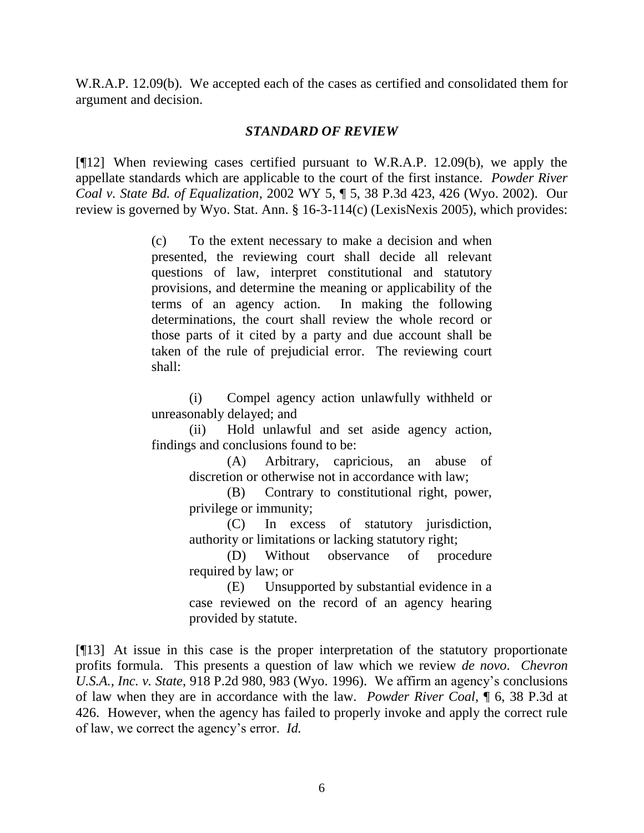W.R.A.P. 12.09(b). We accepted each of the cases as certified and consolidated them for argument and decision.

#### *STANDARD OF REVIEW*

[¶12] When reviewing cases certified pursuant to W.R.A.P. 12.09(b), we apply the appellate standards which are applicable to the court of the first instance. *Powder River Coal v. State Bd. of Equalization*, 2002 WY 5, ¶ 5, 38 P.3d 423, 426 (Wyo. 2002). Our review is governed by Wyo. Stat. Ann. § 16-3-114(c) (LexisNexis 2005), which provides:

> (c) To the extent necessary to make a decision and when presented, the reviewing court shall decide all relevant questions of law, interpret constitutional and statutory provisions, and determine the meaning or applicability of the terms of an agency action. In making the following determinations, the court shall review the whole record or those parts of it cited by a party and due account shall be taken of the rule of prejudicial error. The reviewing court shall:

> (i) Compel agency action unlawfully withheld or unreasonably delayed; and

> (ii) Hold unlawful and set aside agency action, findings and conclusions found to be:

> > (A) Arbitrary, capricious, an abuse of discretion or otherwise not in accordance with law;

> > (B) Contrary to constitutional right, power, privilege or immunity;

> > (C) In excess of statutory jurisdiction, authority or limitations or lacking statutory right;

> > (D) Without observance of procedure required by law; or

> > (E) Unsupported by substantial evidence in a case reviewed on the record of an agency hearing provided by statute.

[¶13] At issue in this case is the proper interpretation of the statutory proportionate profits formula. This presents a question of law which we review *de novo*. *Chevron U.S.A., Inc. v. State*, 918 P.2d 980, 983 (Wyo. 1996). We affirm an agency"s conclusions of law when they are in accordance with the law. *Powder River Coal*, ¶ 6, 38 P.3d at 426. However, when the agency has failed to properly invoke and apply the correct rule of law, we correct the agency"s error. *Id.*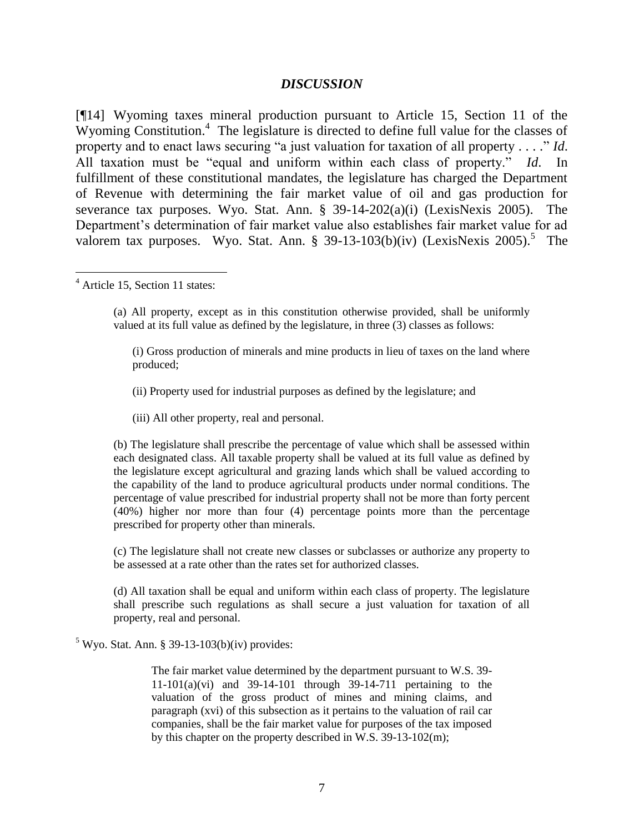#### *DISCUSSION*

[¶14] Wyoming taxes mineral production pursuant to Article 15, Section 11 of the Wyoming Constitution.<sup>4</sup> The legislature is directed to define full value for the classes of property and to enact laws securing "a just valuation for taxation of all property . . . ." *Id*. All taxation must be "equal and uniform within each class of property." *Id*. In fulfillment of these constitutional mandates, the legislature has charged the Department of Revenue with determining the fair market value of oil and gas production for severance tax purposes. Wyo. Stat. Ann. § 39-14-202(a)(i) (LexisNexis 2005). The Department"s determination of fair market value also establishes fair market value for ad valorem tax purposes. Wyo. Stat. Ann. § 39-13-103(b)(iv) (LexisNexis 2005).<sup>5</sup> The

<sup>4</sup> Article 15, Section 11 states:

 $\overline{a}$ 

(a) All property, except as in this constitution otherwise provided, shall be uniformly valued at its full value as defined by the legislature, in three (3) classes as follows:

(i) Gross production of minerals and mine products in lieu of taxes on the land where produced;

(ii) Property used for industrial purposes as defined by the legislature; and

(iii) All other property, real and personal.

(b) The legislature shall prescribe the percentage of value which shall be assessed within each designated class. All taxable property shall be valued at its full value as defined by the legislature except agricultural and grazing lands which shall be valued according to the capability of the land to produce agricultural products under normal conditions. The percentage of value prescribed for industrial property shall not be more than forty percent (40%) higher nor more than four (4) percentage points more than the percentage prescribed for property other than minerals.

(c) The legislature shall not create new classes or subclasses or authorize any property to be assessed at a rate other than the rates set for authorized classes.

(d) All taxation shall be equal and uniform within each class of property. The legislature shall prescribe such regulations as shall secure a just valuation for taxation of all property, real and personal.

 $5$  Wyo. Stat. Ann. § 39-13-103(b)(iv) provides:

The fair market value determined by the department pursuant to W.S. 39- 11-101(a)(vi) and 39-14-101 through 39-14-711 pertaining to the valuation of the gross product of mines and mining claims, and paragraph (xvi) of this subsection as it pertains to the valuation of rail car companies, shall be the fair market value for purposes of the tax imposed by this chapter on the property described in W.S. 39-13-102(m);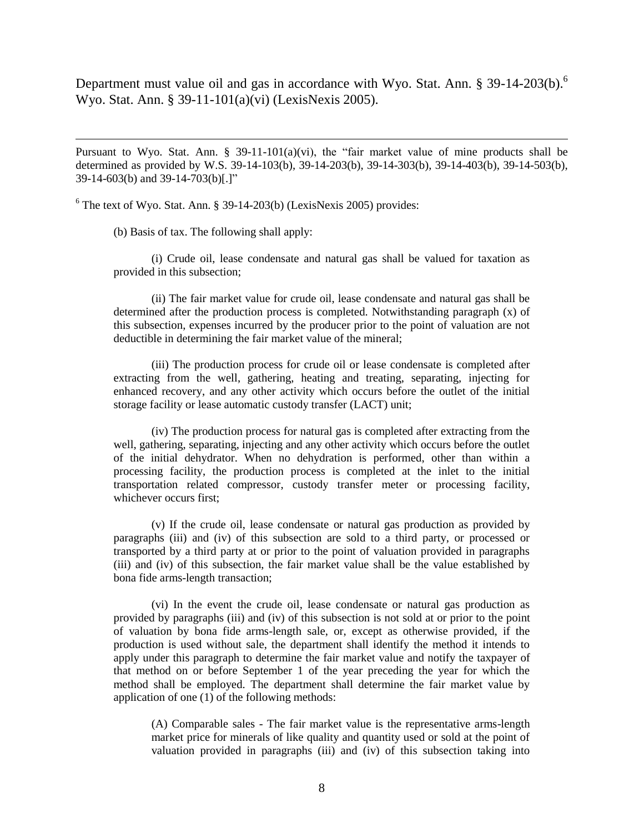Department must value oil and gas in accordance with Wyo. Stat. Ann.  $\S 39-14-203(b)$ .<sup>6</sup> Wyo. Stat. Ann. § 39-11-101(a)(vi) (LexisNexis 2005).

Pursuant to Wyo. Stat. Ann.  $\S$  39-11-101(a)(vi), the "fair market value of mine products shall be determined as provided by W.S. 39-14-103(b), 39-14-203(b), 39-14-303(b), 39-14-403(b), 39-14-503(b), 39-14-603(b) and 39-14-703(b)[.]"

 $6$  The text of Wyo. Stat. Ann. § 39-14-203(b) (LexisNexis 2005) provides:

(b) Basis of tax. The following shall apply:

 $\overline{a}$ 

(i) Crude oil, lease condensate and natural gas shall be valued for taxation as provided in this subsection;

(ii) The fair market value for crude oil, lease condensate and natural gas shall be determined after the production process is completed. Notwithstanding paragraph (x) of this subsection, expenses incurred by the producer prior to the point of valuation are not deductible in determining the fair market value of the mineral;

(iii) The production process for crude oil or lease condensate is completed after extracting from the well, gathering, heating and treating, separating, injecting for enhanced recovery, and any other activity which occurs before the outlet of the initial storage facility or lease automatic custody transfer (LACT) unit;

(iv) The production process for natural gas is completed after extracting from the well, gathering, separating, injecting and any other activity which occurs before the outlet of the initial dehydrator. When no dehydration is performed, other than within a processing facility, the production process is completed at the inlet to the initial transportation related compressor, custody transfer meter or processing facility, whichever occurs first;

(v) If the crude oil, lease condensate or natural gas production as provided by paragraphs (iii) and (iv) of this subsection are sold to a third party, or processed or transported by a third party at or prior to the point of valuation provided in paragraphs (iii) and (iv) of this subsection, the fair market value shall be the value established by bona fide arms-length transaction;

(vi) In the event the crude oil, lease condensate or natural gas production as provided by paragraphs (iii) and (iv) of this subsection is not sold at or prior to the point of valuation by bona fide arms-length sale, or, except as otherwise provided, if the production is used without sale, the department shall identify the method it intends to apply under this paragraph to determine the fair market value and notify the taxpayer of that method on or before September 1 of the year preceding the year for which the method shall be employed. The department shall determine the fair market value by application of one (1) of the following methods:

(A) Comparable sales - The fair market value is the representative arms-length market price for minerals of like quality and quantity used or sold at the point of valuation provided in paragraphs (iii) and (iv) of this subsection taking into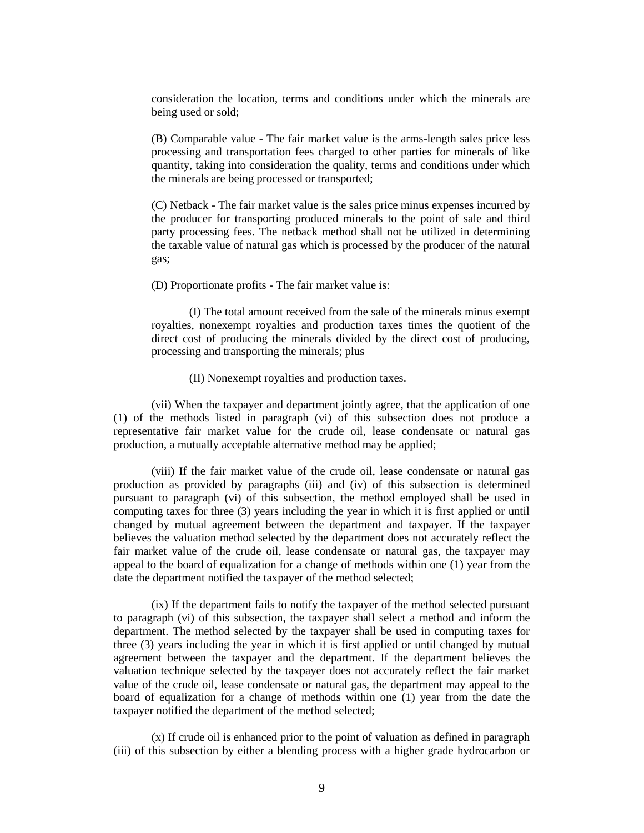consideration the location, terms and conditions under which the minerals are being used or sold;

(B) Comparable value - The fair market value is the arms-length sales price less processing and transportation fees charged to other parties for minerals of like quantity, taking into consideration the quality, terms and conditions under which the minerals are being processed or transported;

(C) Netback - The fair market value is the sales price minus expenses incurred by the producer for transporting produced minerals to the point of sale and third party processing fees. The netback method shall not be utilized in determining the taxable value of natural gas which is processed by the producer of the natural gas;

(D) Proportionate profits - The fair market value is:

 $\overline{a}$ 

(I) The total amount received from the sale of the minerals minus exempt royalties, nonexempt royalties and production taxes times the quotient of the direct cost of producing the minerals divided by the direct cost of producing, processing and transporting the minerals; plus

#### (II) Nonexempt royalties and production taxes.

(vii) When the taxpayer and department jointly agree, that the application of one (1) of the methods listed in paragraph (vi) of this subsection does not produce a representative fair market value for the crude oil, lease condensate or natural gas production, a mutually acceptable alternative method may be applied;

(viii) If the fair market value of the crude oil, lease condensate or natural gas production as provided by paragraphs (iii) and (iv) of this subsection is determined pursuant to paragraph (vi) of this subsection, the method employed shall be used in computing taxes for three (3) years including the year in which it is first applied or until changed by mutual agreement between the department and taxpayer. If the taxpayer believes the valuation method selected by the department does not accurately reflect the fair market value of the crude oil, lease condensate or natural gas, the taxpayer may appeal to the board of equalization for a change of methods within one (1) year from the date the department notified the taxpayer of the method selected;

(ix) If the department fails to notify the taxpayer of the method selected pursuant to paragraph (vi) of this subsection, the taxpayer shall select a method and inform the department. The method selected by the taxpayer shall be used in computing taxes for three (3) years including the year in which it is first applied or until changed by mutual agreement between the taxpayer and the department. If the department believes the valuation technique selected by the taxpayer does not accurately reflect the fair market value of the crude oil, lease condensate or natural gas, the department may appeal to the board of equalization for a change of methods within one (1) year from the date the taxpayer notified the department of the method selected;

(x) If crude oil is enhanced prior to the point of valuation as defined in paragraph (iii) of this subsection by either a blending process with a higher grade hydrocarbon or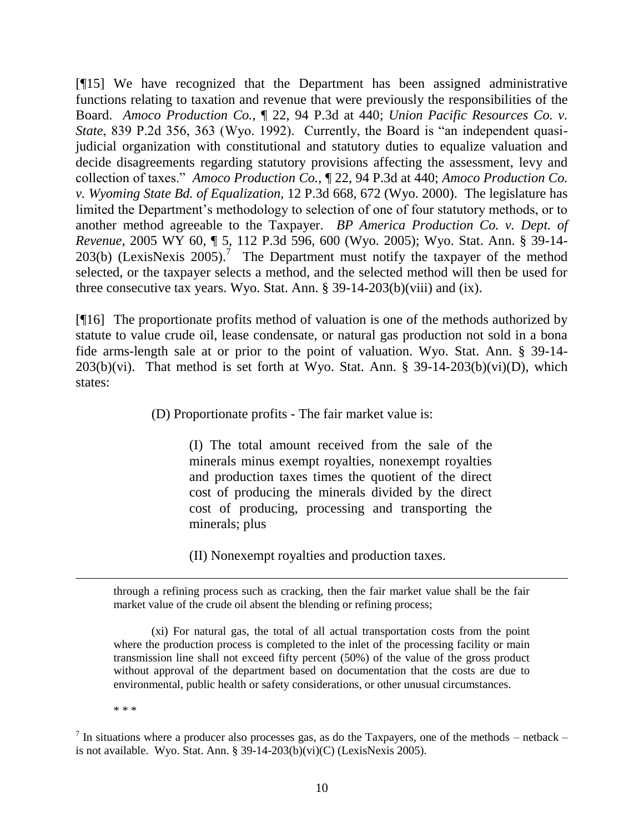[¶15] We have recognized that the Department has been assigned administrative functions relating to taxation and revenue that were previously the responsibilities of the Board. *Amoco Production Co.*, ¶ 22, 94 P.3d at 440; *Union Pacific Resources Co. v. State*, 839 P.2d 356, 363 (Wyo. 1992). Currently, the Board is "an independent quasijudicial organization with constitutional and statutory duties to equalize valuation and decide disagreements regarding statutory provisions affecting the assessment, levy and collection of taxes." *Amoco Production Co.*, ¶ 22, 94 P.3d at 440; *Amoco Production Co. v. Wyoming State Bd. of Equalization*, 12 P.3d 668, 672 (Wyo. 2000). The legislature has limited the Department's methodology to selection of one of four statutory methods, or to another method agreeable to the Taxpayer. *BP America Production Co. v. Dept. of Revenue*, 2005 WY 60, ¶ 5, 112 P.3d 596, 600 (Wyo. 2005); Wyo. Stat. Ann. § 39-14- 203(b) (LexisNexis 2005).<sup>7</sup> The Department must notify the taxpayer of the method selected, or the taxpayer selects a method, and the selected method will then be used for three consecutive tax years. Wyo. Stat. Ann. § 39-14-203(b)(viii) and (ix).

[¶16] The proportionate profits method of valuation is one of the methods authorized by statute to value crude oil, lease condensate, or natural gas production not sold in a bona fide arms-length sale at or prior to the point of valuation. Wyo. Stat. Ann. § 39-14-  $203(b)(vi)$ . That method is set forth at Wyo. Stat. Ann. § 39-14-203(b)(vi)(D), which states:

(D) Proportionate profits - The fair market value is:

(I) The total amount received from the sale of the minerals minus exempt royalties, nonexempt royalties and production taxes times the quotient of the direct cost of producing the minerals divided by the direct cost of producing, processing and transporting the minerals; plus

(II) Nonexempt royalties and production taxes.

through a refining process such as cracking, then the fair market value shall be the fair market value of the crude oil absent the blending or refining process;

(xi) For natural gas, the total of all actual transportation costs from the point where the production process is completed to the inlet of the processing facility or main transmission line shall not exceed fifty percent (50%) of the value of the gross product without approval of the department based on documentation that the costs are due to environmental, public health or safety considerations, or other unusual circumstances.

\* \* \*

 $\overline{a}$ 

<sup>7</sup> In situations where a producer also processes gas, as do the Taxpayers, one of the methods – netback – is not available. Wyo. Stat. Ann. § 39-14-203(b)(vi)(C) (LexisNexis 2005).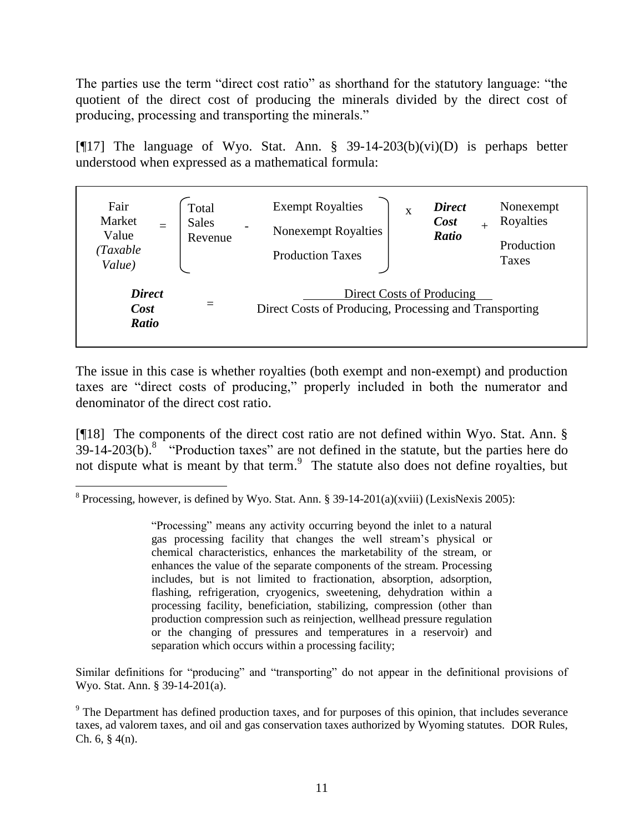The parties use the term "direct cost ratio" as shorthand for the statutory language: "the quotient of the direct cost of producing the minerals divided by the direct cost of producing, processing and transporting the minerals."

[ $[17]$ ] The language of Wyo. Stat. Ann. § 39-14-203(b)(vi)(D) is perhaps better understood when expressed as a mathematical formula:

| Fair<br>Market<br>Value<br>(Taxable<br>Value) | Total<br><b>Sales</b><br>Revenue | <b>Exempt Royalties</b><br>$\overline{\phantom{0}}$<br><b>Nonexempt Royalties</b><br><b>Production Taxes</b> | <b>Direct</b><br>Nonexempt<br>X<br>Royalties<br>Cost<br><b>Ratio</b><br>Production<br>Taxes |
|-----------------------------------------------|----------------------------------|--------------------------------------------------------------------------------------------------------------|---------------------------------------------------------------------------------------------|
| <b>Direct</b><br>Cost<br><b>Ratio</b>         | $\equiv$                         |                                                                                                              | Direct Costs of Producing<br>Direct Costs of Producing, Processing and Transporting         |

The issue in this case is whether royalties (both exempt and non-exempt) and production taxes are "direct costs of producing," properly included in both the numerator and denominator of the direct cost ratio.

[¶18] The components of the direct cost ratio are not defined within Wyo. Stat. Ann. §  $39-14-203(b)$ .<sup>8</sup> "Production taxes" are not defined in the statute, but the parties here do not dispute what is meant by that term.<sup>9</sup> The statute also does not define royalties, but

 $\overline{a}$ 

"Processing" means any activity occurring beyond the inlet to a natural gas processing facility that changes the well stream"s physical or chemical characteristics, enhances the marketability of the stream, or enhances the value of the separate components of the stream. Processing includes, but is not limited to fractionation, absorption, adsorption, flashing, refrigeration, cryogenics, sweetening, dehydration within a processing facility, beneficiation, stabilizing, compression (other than production compression such as reinjection, wellhead pressure regulation or the changing of pressures and temperatures in a reservoir) and separation which occurs within a processing facility;

Similar definitions for "producing" and "transporting" do not appear in the definitional provisions of Wyo. Stat. Ann. § 39-14-201(a).

<sup>&</sup>lt;sup>8</sup> Processing, however, is defined by Wyo. Stat. Ann. § 39-14-201(a)(xviii) (LexisNexis 2005):

<sup>&</sup>lt;sup>9</sup> The Department has defined production taxes, and for purposes of this opinion, that includes severance taxes, ad valorem taxes, and oil and gas conservation taxes authorized by Wyoming statutes. DOR Rules, Ch.  $6, § 4(n)$ .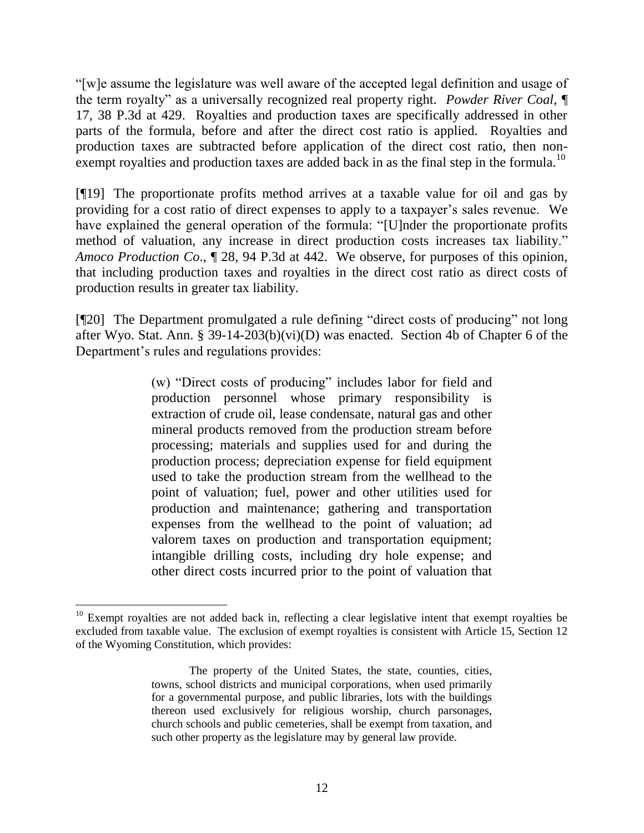"[w]e assume the legislature was well aware of the accepted legal definition and usage of the term royalty" as a universally recognized real property right. *Powder River Coal*, ¶ 17, 38 P.3d at 429. Royalties and production taxes are specifically addressed in other parts of the formula, before and after the direct cost ratio is applied. Royalties and production taxes are subtracted before application of the direct cost ratio, then nonexempt royalties and production taxes are added back in as the final step in the formula.<sup>10</sup>

[¶19] The proportionate profits method arrives at a taxable value for oil and gas by providing for a cost ratio of direct expenses to apply to a taxpayer"s sales revenue. We have explained the general operation of the formula: "[U]nder the proportionate profits method of valuation, any increase in direct production costs increases tax liability." *Amoco Production Co*., ¶ 28, 94 P.3d at 442. We observe, for purposes of this opinion, that including production taxes and royalties in the direct cost ratio as direct costs of production results in greater tax liability.

[¶20] The Department promulgated a rule defining "direct costs of producing" not long after Wyo. Stat. Ann. § 39-14-203(b)(vi)(D) was enacted. Section 4b of Chapter 6 of the Department"s rules and regulations provides:

> (w) "Direct costs of producing" includes labor for field and production personnel whose primary responsibility is extraction of crude oil, lease condensate, natural gas and other mineral products removed from the production stream before processing; materials and supplies used for and during the production process; depreciation expense for field equipment used to take the production stream from the wellhead to the point of valuation; fuel, power and other utilities used for production and maintenance; gathering and transportation expenses from the wellhead to the point of valuation; ad valorem taxes on production and transportation equipment; intangible drilling costs, including dry hole expense; and other direct costs incurred prior to the point of valuation that

 $\overline{a}$ 

 $10$  Exempt royalties are not added back in, reflecting a clear legislative intent that exempt royalties be excluded from taxable value. The exclusion of exempt royalties is consistent with Article 15, Section 12 of the Wyoming Constitution, which provides:

The property of the United States, the state, counties, cities, towns, school districts and municipal corporations, when used primarily for a governmental purpose, and public libraries, lots with the buildings thereon used exclusively for religious worship, church parsonages, church schools and public cemeteries, shall be exempt from taxation, and such other property as the legislature may by general law provide.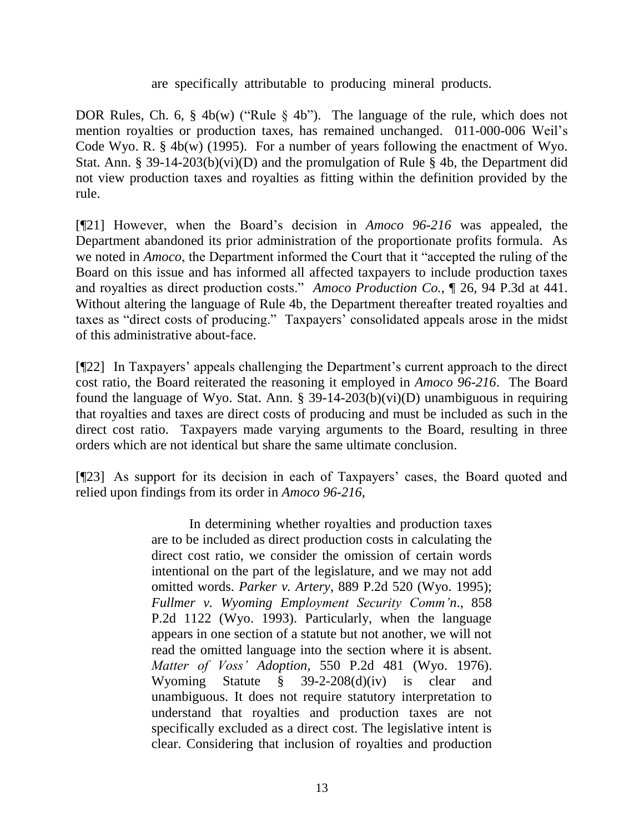are specifically attributable to producing mineral products.

DOR Rules, Ch. 6, § 4b(w) ("Rule § 4b"). The language of the rule, which does not mention royalties or production taxes, has remained unchanged. 011-000-006 Weil"s Code Wyo. R.  $\S$  4b(w) (1995). For a number of years following the enactment of Wyo. Stat. Ann. § 39-14-203(b)(vi)(D) and the promulgation of Rule § 4b, the Department did not view production taxes and royalties as fitting within the definition provided by the rule.

[¶21] However, when the Board"s decision in *Amoco 96-216* was appealed*,* the Department abandoned its prior administration of the proportionate profits formula. As we noted in *Amoco*, the Department informed the Court that it "accepted the ruling of the Board on this issue and has informed all affected taxpayers to include production taxes and royalties as direct production costs." *Amoco Production Co.*, ¶ 26, 94 P.3d at 441. Without altering the language of Rule 4b, the Department thereafter treated royalties and taxes as "direct costs of producing." Taxpayers" consolidated appeals arose in the midst of this administrative about-face.

[¶22] In Taxpayers' appeals challenging the Department's current approach to the direct cost ratio, the Board reiterated the reasoning it employed in *Amoco 96-216*. The Board found the language of Wyo. Stat. Ann.  $\S$  39-14-203(b)(vi)(D) unambiguous in requiring that royalties and taxes are direct costs of producing and must be included as such in the direct cost ratio. Taxpayers made varying arguments to the Board, resulting in three orders which are not identical but share the same ultimate conclusion.

[¶23] As support for its decision in each of Taxpayers' cases, the Board quoted and relied upon findings from its order in *Amoco 96-216*,

> In determining whether royalties and production taxes are to be included as direct production costs in calculating the direct cost ratio, we consider the omission of certain words intentional on the part of the legislature, and we may not add omitted words. *Parker v. Artery*, 889 P.2d 520 (Wyo. 1995); *Fullmer v. Wyoming Employment Security Comm'n*., 858 P.2d 1122 (Wyo. 1993). Particularly, when the language appears in one section of a statute but not another, we will not read the omitted language into the section where it is absent. *Matter of Voss' Adoption*, 550 P.2d 481 (Wyo. 1976). Wyoming Statute § 39-2-208(d)(iv) is clear and unambiguous. It does not require statutory interpretation to understand that royalties and production taxes are not specifically excluded as a direct cost. The legislative intent is clear. Considering that inclusion of royalties and production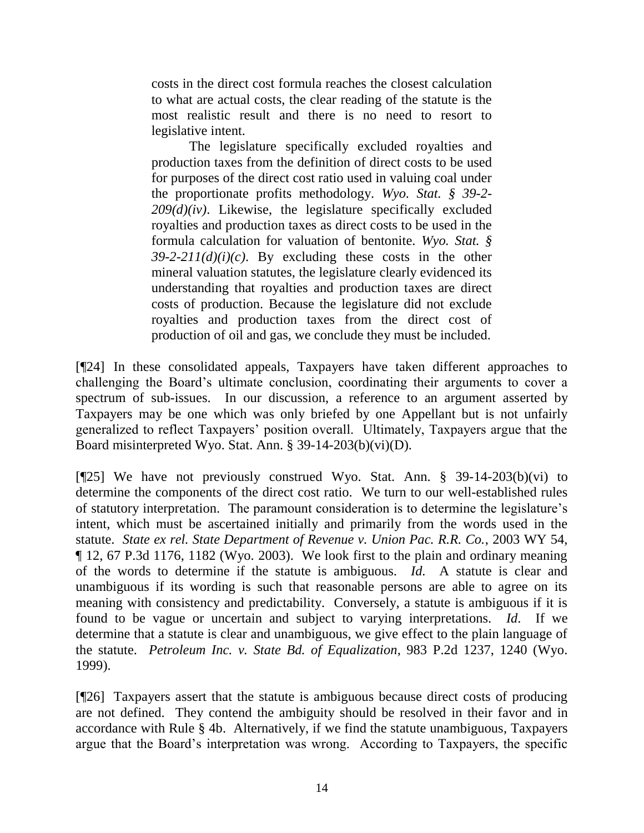costs in the direct cost formula reaches the closest calculation to what are actual costs, the clear reading of the statute is the most realistic result and there is no need to resort to legislative intent.

The legislature specifically excluded royalties and production taxes from the definition of direct costs to be used for purposes of the direct cost ratio used in valuing coal under the proportionate profits methodology. *Wyo. Stat. § 39-2- 209(d)(iv)*. Likewise, the legislature specifically excluded royalties and production taxes as direct costs to be used in the formula calculation for valuation of bentonite. *Wyo. Stat. § 39-2-211(d)(i)(c)*. By excluding these costs in the other mineral valuation statutes, the legislature clearly evidenced its understanding that royalties and production taxes are direct costs of production. Because the legislature did not exclude royalties and production taxes from the direct cost of production of oil and gas, we conclude they must be included.

[¶24] In these consolidated appeals, Taxpayers have taken different approaches to challenging the Board"s ultimate conclusion, coordinating their arguments to cover a spectrum of sub-issues. In our discussion, a reference to an argument asserted by Taxpayers may be one which was only briefed by one Appellant but is not unfairly generalized to reflect Taxpayers" position overall. Ultimately, Taxpayers argue that the Board misinterpreted Wyo. Stat. Ann. § 39-14-203(b)(vi)(D).

[¶25] We have not previously construed Wyo. Stat. Ann. § 39-14-203(b)(vi) to determine the components of the direct cost ratio. We turn to our well-established rules of statutory interpretation. The paramount consideration is to determine the legislature"s intent, which must be ascertained initially and primarily from the words used in the statute. *State ex rel. State Department of Revenue v. Union Pac. R.R. Co.*, 2003 WY 54, ¶ 12, 67 P.3d 1176, 1182 (Wyo. 2003). We look first to the plain and ordinary meaning of the words to determine if the statute is ambiguous. *Id.* A statute is clear and unambiguous if its wording is such that reasonable persons are able to agree on its meaning with consistency and predictability. Conversely, a statute is ambiguous if it is found to be vague or uncertain and subject to varying interpretations. *Id*. If we determine that a statute is clear and unambiguous, we give effect to the plain language of the statute. *Petroleum Inc. v. State Bd. of Equalization*, 983 P.2d 1237, 1240 (Wyo. 1999).

[¶26] Taxpayers assert that the statute is ambiguous because direct costs of producing are not defined. They contend the ambiguity should be resolved in their favor and in accordance with Rule § 4b. Alternatively, if we find the statute unambiguous, Taxpayers argue that the Board"s interpretation was wrong. According to Taxpayers, the specific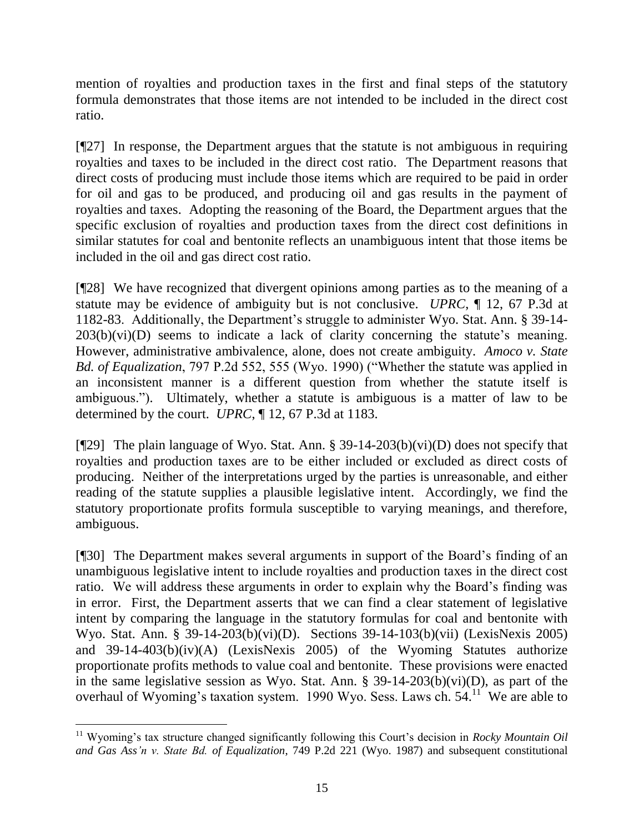mention of royalties and production taxes in the first and final steps of the statutory formula demonstrates that those items are not intended to be included in the direct cost ratio.

[¶27] In response, the Department argues that the statute is not ambiguous in requiring royalties and taxes to be included in the direct cost ratio. The Department reasons that direct costs of producing must include those items which are required to be paid in order for oil and gas to be produced, and producing oil and gas results in the payment of royalties and taxes. Adopting the reasoning of the Board, the Department argues that the specific exclusion of royalties and production taxes from the direct cost definitions in similar statutes for coal and bentonite reflects an unambiguous intent that those items be included in the oil and gas direct cost ratio.

[¶28] We have recognized that divergent opinions among parties as to the meaning of a statute may be evidence of ambiguity but is not conclusive. *UPRC*, ¶ 12, 67 P.3d at 1182-83. Additionally, the Department"s struggle to administer Wyo. Stat. Ann. § 39-14-  $203(b)(vi)(D)$  seems to indicate a lack of clarity concerning the statute's meaning. However, administrative ambivalence, alone, does not create ambiguity. *Amoco v. State Bd. of Equalization*, 797 P.2d 552, 555 (Wyo. 1990) ("Whether the statute was applied in an inconsistent manner is a different question from whether the statute itself is ambiguous."). Ultimately, whether a statute is ambiguous is a matter of law to be determined by the court. *UPRC*, ¶ 12, 67 P.3d at 1183.

[¶29] The plain language of Wyo. Stat. Ann. § 39-14-203(b)(vi)(D) does not specify that royalties and production taxes are to be either included or excluded as direct costs of producing. Neither of the interpretations urged by the parties is unreasonable, and either reading of the statute supplies a plausible legislative intent. Accordingly, we find the statutory proportionate profits formula susceptible to varying meanings, and therefore, ambiguous.

[¶30] The Department makes several arguments in support of the Board"s finding of an unambiguous legislative intent to include royalties and production taxes in the direct cost ratio. We will address these arguments in order to explain why the Board"s finding was in error. First, the Department asserts that we can find a clear statement of legislative intent by comparing the language in the statutory formulas for coal and bentonite with Wyo. Stat. Ann. § 39-14-203(b)(vi)(D). Sections 39-14-103(b)(vii) (LexisNexis 2005) and 39-14-403(b)(iv)(A) (LexisNexis 2005) of the Wyoming Statutes authorize proportionate profits methods to value coal and bentonite. These provisions were enacted in the same legislative session as Wyo. Stat. Ann.  $\S$  39-14-203(b)(vi)(D), as part of the overhaul of Wyoming's taxation system. 1990 Wyo. Sess. Laws ch.  $54<sup>11</sup>$  We are able to

 $\overline{a}$ 

<sup>&</sup>lt;sup>11</sup> Wyoming's tax structure changed significantly following this Court's decision in *Rocky Mountain Oil and Gas Ass'n v. State Bd. of Equalization*, 749 P.2d 221 (Wyo. 1987) and subsequent constitutional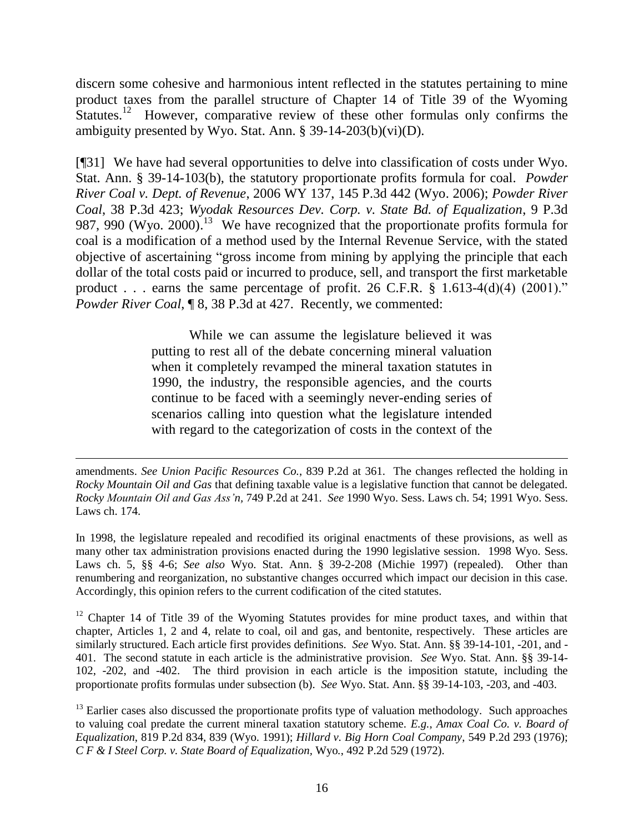discern some cohesive and harmonious intent reflected in the statutes pertaining to mine product taxes from the parallel structure of Chapter 14 of Title 39 of the Wyoming Statutes.<sup>12</sup> However, comparative review of these other formulas only confirms the ambiguity presented by Wyo. Stat. Ann. § 39-14-203(b)(vi)(D).

[¶31] We have had several opportunities to delve into classification of costs under Wyo. Stat. Ann. § 39-14-103(b), the statutory proportionate profits formula for coal. *Powder River Coal v. Dept. of Revenue*, 2006 WY 137, 145 P.3d 442 (Wyo. 2006); *Powder River Coal*, 38 P.3d 423; *Wyodak Resources Dev. Corp. v. State Bd. of Equalization*, 9 P.3d 987, 990 (Wyo. 2000).<sup>13</sup> We have recognized that the proportionate profits formula for coal is a modification of a method used by the Internal Revenue Service, with the stated objective of ascertaining "gross income from mining by applying the principle that each dollar of the total costs paid or incurred to produce, sell, and transport the first marketable product . . . earns the same percentage of profit. 26 C.F.R.  $\S$  1.613-4(d)(4) (2001)." *Powder River Coal*, ¶ 8, 38 P.3d at 427. Recently, we commented:

> While we can assume the legislature believed it was putting to rest all of the debate concerning mineral valuation when it completely revamped the mineral taxation statutes in 1990, the industry, the responsible agencies, and the courts continue to be faced with a seemingly never-ending series of scenarios calling into question what the legislature intended with regard to the categorization of costs in the context of the

amendments. *See Union Pacific Resources Co.*, 839 P.2d at 361. The changes reflected the holding in *Rocky Mountain Oil and Gas* that defining taxable value is a legislative function that cannot be delegated. *Rocky Mountain Oil and Gas Ass'n,* 749 P.2d at 241. *See* 1990 Wyo. Sess. Laws ch. 54; 1991 Wyo. Sess. Laws ch. 174.

 $\overline{a}$ 

In 1998, the legislature repealed and recodified its original enactments of these provisions, as well as many other tax administration provisions enacted during the 1990 legislative session. 1998 Wyo. Sess. Laws ch. 5, §§ 4-6; *See also* Wyo. Stat. Ann. § 39-2-208 (Michie 1997) (repealed). Other than renumbering and reorganization, no substantive changes occurred which impact our decision in this case. Accordingly, this opinion refers to the current codification of the cited statutes.

 $12$  Chapter 14 of Title 39 of the Wyoming Statutes provides for mine product taxes, and within that chapter, Articles 1, 2 and 4, relate to coal, oil and gas, and bentonite, respectively. These articles are similarly structured. Each article first provides definitions. *See* Wyo. Stat. Ann. §§ 39-14-101, -201, and - 401. The second statute in each article is the administrative provision. *See* Wyo. Stat. Ann. §§ 39-14- 102, -202, and -402. The third provision in each article is the imposition statute, including the proportionate profits formulas under subsection (b). *See* Wyo. Stat. Ann. §§ 39-14-103, -203, and -403.

 $13$  Earlier cases also discussed the proportionate profits type of valuation methodology. Such approaches to valuing coal predate the current mineral taxation statutory scheme. *E.g.*, *Amax Coal Co. v. Board of Equalization*, 819 P.2d 834, 839 (Wyo. 1991); *Hillard v. Big Horn Coal Company*, 549 P.2d 293 (1976); *C F & I Steel Corp. v. State Board of Equalization,* Wyo*.*, 492 P.2d 529 (1972).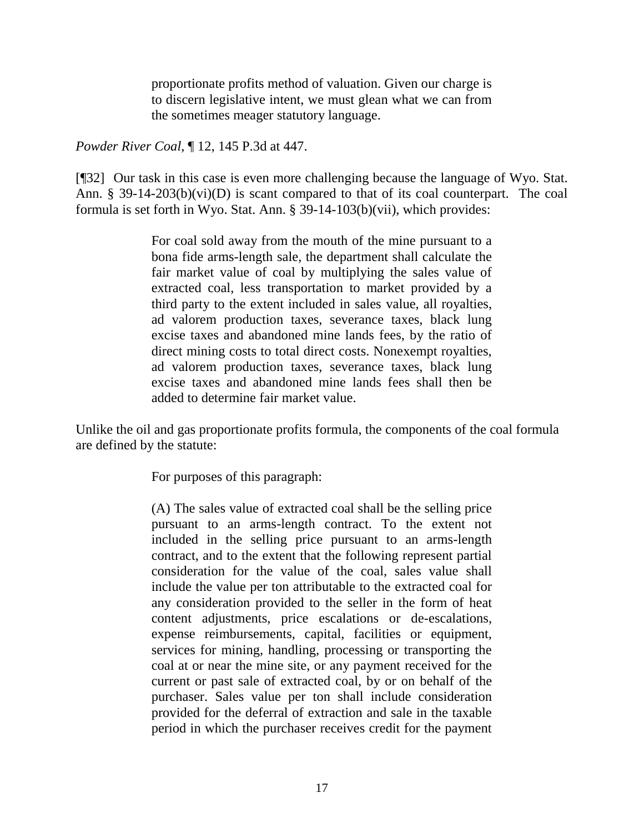proportionate profits method of valuation. Given our charge is to discern legislative intent, we must glean what we can from the sometimes meager statutory language.

*Powder River Coal*, ¶ 12, 145 P.3d at 447.

[¶32] Our task in this case is even more challenging because the language of Wyo. Stat. Ann. § 39-14-203(b)(vi)(D) is scant compared to that of its coal counterpart. The coal formula is set forth in Wyo. Stat. Ann. § 39-14-103(b)(vii), which provides:

> For coal sold away from the mouth of the mine pursuant to a bona fide arms-length sale, the department shall calculate the fair market value of coal by multiplying the sales value of extracted coal, less transportation to market provided by a third party to the extent included in sales value, all royalties, ad valorem production taxes, severance taxes, black lung excise taxes and abandoned mine lands fees, by the ratio of direct mining costs to total direct costs. Nonexempt royalties, ad valorem production taxes, severance taxes, black lung excise taxes and abandoned mine lands fees shall then be added to determine fair market value.

Unlike the oil and gas proportionate profits formula, the components of the coal formula are defined by the statute:

For purposes of this paragraph:

(A) The sales value of extracted coal shall be the selling price pursuant to an arms-length contract. To the extent not included in the selling price pursuant to an arms-length contract, and to the extent that the following represent partial consideration for the value of the coal, sales value shall include the value per ton attributable to the extracted coal for any consideration provided to the seller in the form of heat content adjustments, price escalations or de-escalations, expense reimbursements, capital, facilities or equipment, services for mining, handling, processing or transporting the coal at or near the mine site, or any payment received for the current or past sale of extracted coal, by or on behalf of the purchaser. Sales value per ton shall include consideration provided for the deferral of extraction and sale in the taxable period in which the purchaser receives credit for the payment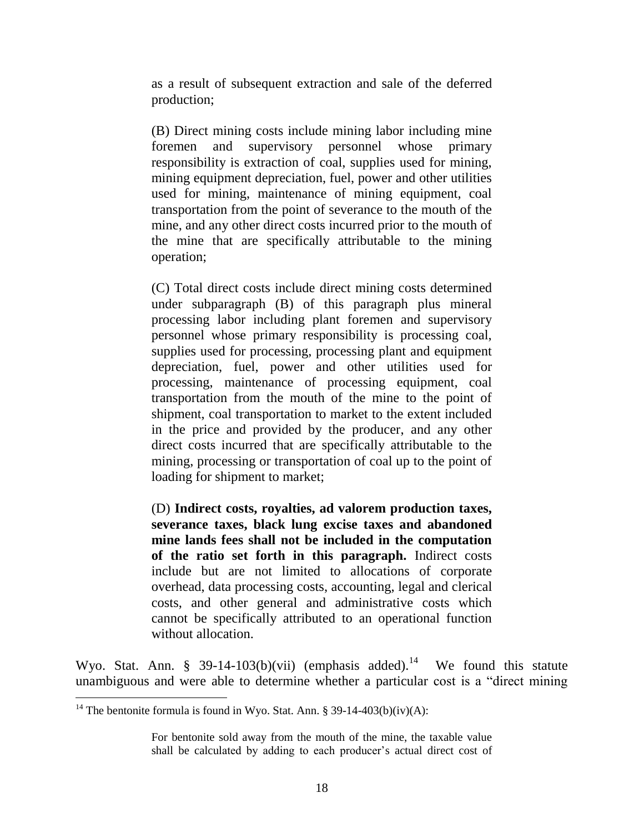as a result of subsequent extraction and sale of the deferred production;

(B) Direct mining costs include mining labor including mine foremen and supervisory personnel whose primary responsibility is extraction of coal, supplies used for mining, mining equipment depreciation, fuel, power and other utilities used for mining, maintenance of mining equipment, coal transportation from the point of severance to the mouth of the mine, and any other direct costs incurred prior to the mouth of the mine that are specifically attributable to the mining operation;

(C) Total direct costs include direct mining costs determined under subparagraph (B) of this paragraph plus mineral processing labor including plant foremen and supervisory personnel whose primary responsibility is processing coal, supplies used for processing, processing plant and equipment depreciation, fuel, power and other utilities used for processing, maintenance of processing equipment, coal transportation from the mouth of the mine to the point of shipment, coal transportation to market to the extent included in the price and provided by the producer, and any other direct costs incurred that are specifically attributable to the mining, processing or transportation of coal up to the point of loading for shipment to market;

(D) **Indirect costs, royalties, ad valorem production taxes, severance taxes, black lung excise taxes and abandoned mine lands fees shall not be included in the computation of the ratio set forth in this paragraph.** Indirect costs include but are not limited to allocations of corporate overhead, data processing costs, accounting, legal and clerical costs, and other general and administrative costs which cannot be specifically attributed to an operational function without allocation.

Wyo. Stat. Ann. § 39-14-103(b)(vii) (emphasis added).<sup>14</sup> We found this statute unambiguous and were able to determine whether a particular cost is a "direct mining

 $\overline{a}$ 

For bentonite sold away from the mouth of the mine, the taxable value shall be calculated by adding to each producer's actual direct cost of

<sup>&</sup>lt;sup>14</sup> The bentonite formula is found in Wyo. Stat. Ann. § 39-14-403(b)(iv)(A):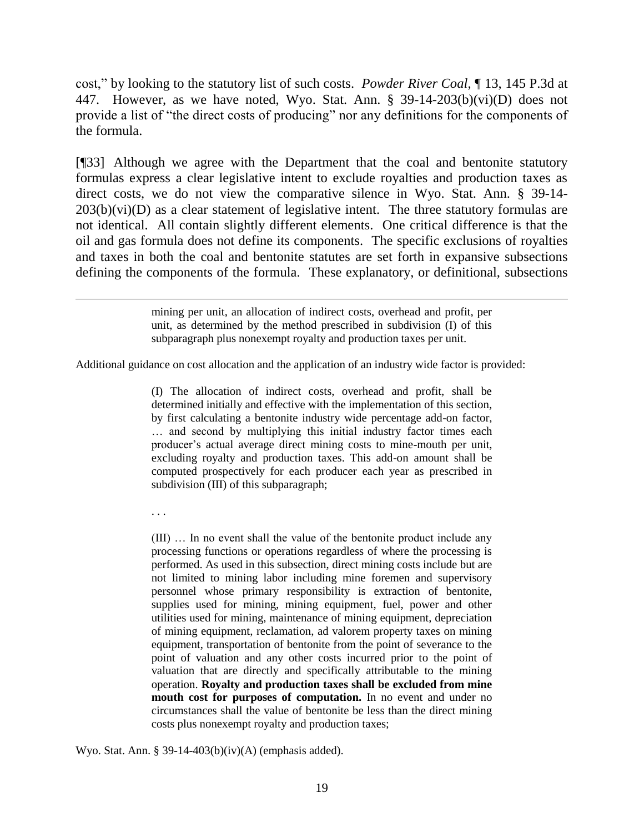cost," by looking to the statutory list of such costs. *Powder River Coal*, ¶ 13, 145 P.3d at 447. However, as we have noted, Wyo. Stat. Ann. § 39-14-203(b)(vi)(D) does not provide a list of "the direct costs of producing" nor any definitions for the components of the formula.

[¶33] Although we agree with the Department that the coal and bentonite statutory formulas express a clear legislative intent to exclude royalties and production taxes as direct costs, we do not view the comparative silence in Wyo. Stat. Ann. § 39-14-  $203(b)(vi)(D)$  as a clear statement of legislative intent. The three statutory formulas are not identical. All contain slightly different elements. One critical difference is that the oil and gas formula does not define its components. The specific exclusions of royalties and taxes in both the coal and bentonite statutes are set forth in expansive subsections defining the components of the formula. These explanatory, or definitional, subsections

> mining per unit, an allocation of indirect costs, overhead and profit, per unit, as determined by the method prescribed in subdivision (I) of this subparagraph plus nonexempt royalty and production taxes per unit.

Additional guidance on cost allocation and the application of an industry wide factor is provided:

(I) The allocation of indirect costs, overhead and profit, shall be determined initially and effective with the implementation of this section, by first calculating a bentonite industry wide percentage add-on factor, … and second by multiplying this initial industry factor times each producer's actual average direct mining costs to mine-mouth per unit, excluding royalty and production taxes. This add-on amount shall be computed prospectively for each producer each year as prescribed in subdivision (III) of this subparagraph;

. . .

 $\overline{a}$ 

(III) … In no event shall the value of the bentonite product include any processing functions or operations regardless of where the processing is performed. As used in this subsection, direct mining costs include but are not limited to mining labor including mine foremen and supervisory personnel whose primary responsibility is extraction of bentonite, supplies used for mining, mining equipment, fuel, power and other utilities used for mining, maintenance of mining equipment, depreciation of mining equipment, reclamation, ad valorem property taxes on mining equipment, transportation of bentonite from the point of severance to the point of valuation and any other costs incurred prior to the point of valuation that are directly and specifically attributable to the mining operation. **Royalty and production taxes shall be excluded from mine mouth cost for purposes of computation.** In no event and under no circumstances shall the value of bentonite be less than the direct mining costs plus nonexempt royalty and production taxes;

Wyo. Stat. Ann. § 39-14-403(b)(iv)(A) (emphasis added).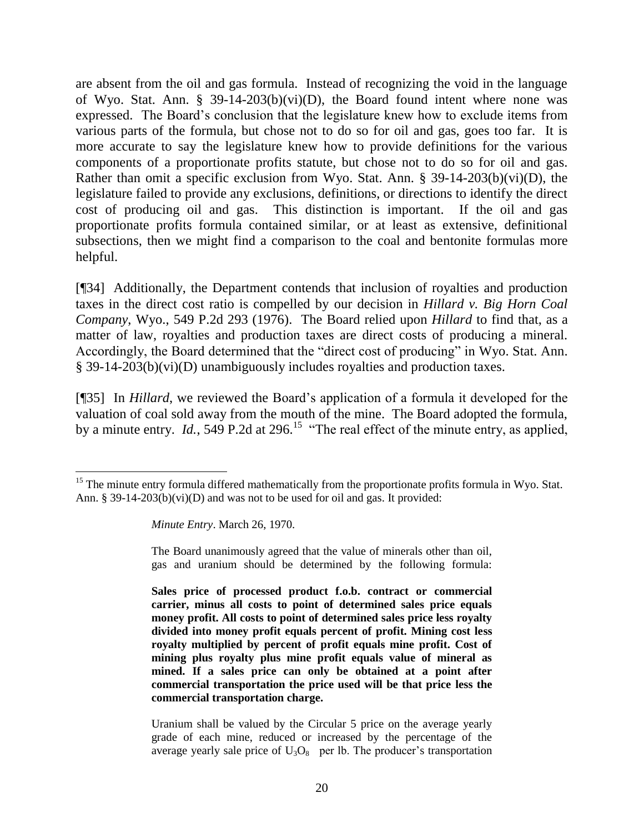are absent from the oil and gas formula. Instead of recognizing the void in the language of Wyo. Stat. Ann. § 39-14-203(b)(vi)(D), the Board found intent where none was expressed. The Board"s conclusion that the legislature knew how to exclude items from various parts of the formula, but chose not to do so for oil and gas, goes too far. It is more accurate to say the legislature knew how to provide definitions for the various components of a proportionate profits statute, but chose not to do so for oil and gas. Rather than omit a specific exclusion from Wyo. Stat. Ann. § 39-14-203(b)(vi)(D), the legislature failed to provide any exclusions, definitions, or directions to identify the direct cost of producing oil and gas. This distinction is important. If the oil and gas proportionate profits formula contained similar, or at least as extensive, definitional subsections, then we might find a comparison to the coal and bentonite formulas more helpful.

[¶34] Additionally, the Department contends that inclusion of royalties and production taxes in the direct cost ratio is compelled by our decision in *Hillard v. Big Horn Coal Company*, Wyo., 549 P.2d 293 (1976). The Board relied upon *Hillard* to find that, as a matter of law, royalties and production taxes are direct costs of producing a mineral. Accordingly, the Board determined that the "direct cost of producing" in Wyo. Stat. Ann. § 39-14-203(b)(vi)(D) unambiguously includes royalties and production taxes.

[¶35] In *Hillard*, we reviewed the Board"s application of a formula it developed for the valuation of coal sold away from the mouth of the mine. The Board adopted the formula, by a minute entry. *Id.*, 549 P.2d at 296.<sup>15</sup> "The real effect of the minute entry, as applied,

 $\overline{a}$ 

The Board unanimously agreed that the value of minerals other than oil, gas and uranium should be determined by the following formula:

**Sales price of processed product f.o.b. contract or commercial carrier, minus all costs to point of determined sales price equals money profit. All costs to point of determined sales price less royalty divided into money profit equals percent of profit. Mining cost less royalty multiplied by percent of profit equals mine profit. Cost of mining plus royalty plus mine profit equals value of mineral as mined. If a sales price can only be obtained at a point after commercial transportation the price used will be that price less the commercial transportation charge.**

Uranium shall be valued by the Circular 5 price on the average yearly grade of each mine, reduced or increased by the percentage of the average yearly sale price of  $U_3O_8$  per lb. The producer's transportation

<sup>&</sup>lt;sup>15</sup> The minute entry formula differed mathematically from the proportionate profits formula in Wyo. Stat. Ann. § 39-14-203(b)(vi)(D) and was not to be used for oil and gas. It provided:

*Minute Entry*. March 26, 1970.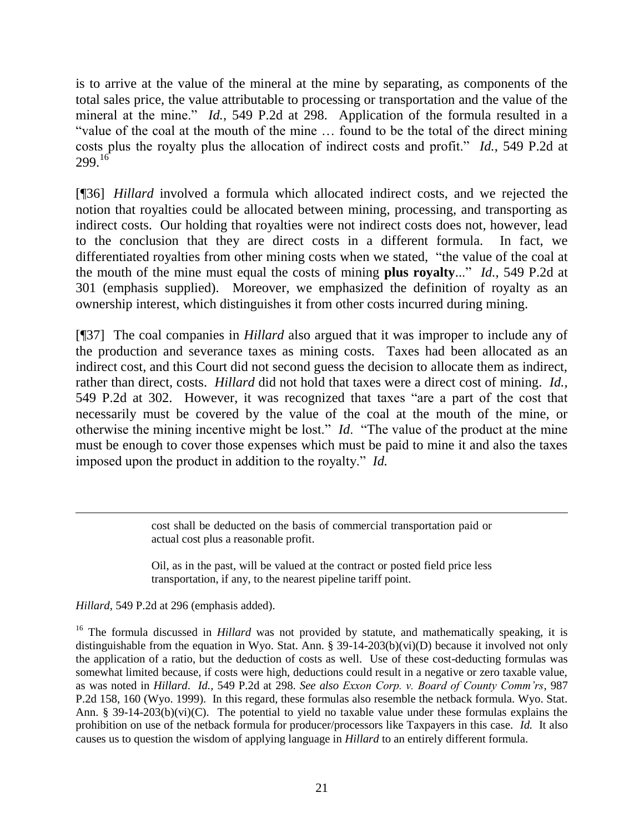is to arrive at the value of the mineral at the mine by separating, as components of the total sales price, the value attributable to processing or transportation and the value of the mineral at the mine." *Id.*, 549 P.2d at 298. Application of the formula resulted in a "value of the coal at the mouth of the mine … found to be the total of the direct mining costs plus the royalty plus the allocation of indirect costs and profit." *Id.*, 549 P.2d at  $299.16$ 

[¶36] *Hillard* involved a formula which allocated indirect costs, and we rejected the notion that royalties could be allocated between mining, processing, and transporting as indirect costs. Our holding that royalties were not indirect costs does not, however, lead to the conclusion that they are direct costs in a different formula. In fact, we differentiated royalties from other mining costs when we stated, "the value of the coal at the mouth of the mine must equal the costs of mining **plus royalty**..." *Id.,* 549 P.2d at 301 (emphasis supplied). Moreover, we emphasized the definition of royalty as an ownership interest, which distinguishes it from other costs incurred during mining.

[¶37] The coal companies in *Hillard* also argued that it was improper to include any of the production and severance taxes as mining costs. Taxes had been allocated as an indirect cost, and this Court did not second guess the decision to allocate them as indirect, rather than direct, costs. *Hillard* did not hold that taxes were a direct cost of mining. *Id.,* 549 P.2d at 302. However, it was recognized that taxes "are a part of the cost that necessarily must be covered by the value of the coal at the mouth of the mine, or otherwise the mining incentive might be lost." *Id*. "The value of the product at the mine must be enough to cover those expenses which must be paid to mine it and also the taxes imposed upon the product in addition to the royalty." *Id.*

> cost shall be deducted on the basis of commercial transportation paid or actual cost plus a reasonable profit.

> Oil, as in the past, will be valued at the contract or posted field price less transportation, if any, to the nearest pipeline tariff point.

*Hillard*, 549 P.2d at 296 (emphasis added).

 $\overline{a}$ 

<sup>16</sup> The formula discussed in *Hillard* was not provided by statute, and mathematically speaking, it is distinguishable from the equation in Wyo. Stat. Ann. § 39-14-203(b)(vi)(D) because it involved not only the application of a ratio, but the deduction of costs as well. Use of these cost-deducting formulas was somewhat limited because, if costs were high, deductions could result in a negative or zero taxable value, as was noted in *Hillard*. *Id.,* 549 P.2d at 298. *See also Exxon Corp. v. Board of County Comm'rs*, 987 P.2d 158, 160 (Wyo. 1999). In this regard, these formulas also resemble the netback formula. Wyo. Stat. Ann. § 39-14-203(b)(vi)(C). The potential to yield no taxable value under these formulas explains the prohibition on use of the netback formula for producer/processors like Taxpayers in this case. *Id.* It also causes us to question the wisdom of applying language in *Hillard* to an entirely different formula.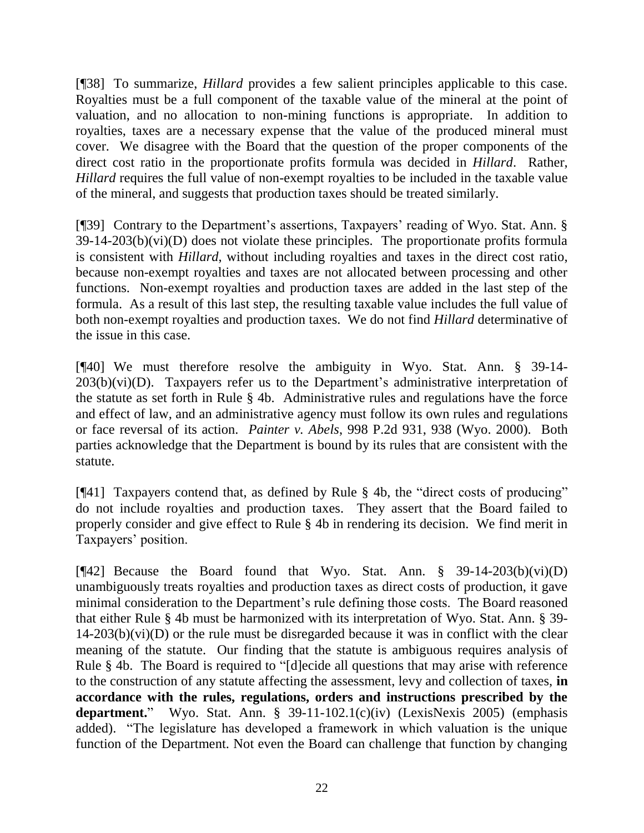[¶38] To summarize, *Hillard* provides a few salient principles applicable to this case. Royalties must be a full component of the taxable value of the mineral at the point of valuation, and no allocation to non-mining functions is appropriate. In addition to royalties, taxes are a necessary expense that the value of the produced mineral must cover. We disagree with the Board that the question of the proper components of the direct cost ratio in the proportionate profits formula was decided in *Hillard*. Rather, *Hillard* requires the full value of non-exempt royalties to be included in the taxable value of the mineral, and suggests that production taxes should be treated similarly.

[¶39] Contrary to the Department's assertions, Taxpayers' reading of Wyo. Stat. Ann. §  $39-14-203(b)(vi)(D)$  does not violate these principles. The proportionate profits formula is consistent with *Hillard*, without including royalties and taxes in the direct cost ratio, because non-exempt royalties and taxes are not allocated between processing and other functions. Non-exempt royalties and production taxes are added in the last step of the formula. As a result of this last step, the resulting taxable value includes the full value of both non-exempt royalties and production taxes. We do not find *Hillard* determinative of the issue in this case.

[¶40] We must therefore resolve the ambiguity in Wyo. Stat. Ann. § 39-14-  $203(b)(vi)(D)$ . Taxpayers refer us to the Department's administrative interpretation of the statute as set forth in Rule § 4b. Administrative rules and regulations have the force and effect of law, and an administrative agency must follow its own rules and regulations or face reversal of its action. *Painter v. Abels*, 998 P.2d 931, 938 (Wyo. 2000). Both parties acknowledge that the Department is bound by its rules that are consistent with the statute.

[¶41] Taxpayers contend that, as defined by Rule § 4b, the "direct costs of producing" do not include royalties and production taxes. They assert that the Board failed to properly consider and give effect to Rule § 4b in rendering its decision. We find merit in Taxpayers" position.

[ $[42]$  Because the Board found that Wyo. Stat. Ann. § 39-14-203(b)(vi)(D) unambiguously treats royalties and production taxes as direct costs of production, it gave minimal consideration to the Department"s rule defining those costs. The Board reasoned that either Rule § 4b must be harmonized with its interpretation of Wyo. Stat. Ann. § 39-  $14-203(b)(vi)(D)$  or the rule must be disregarded because it was in conflict with the clear meaning of the statute. Our finding that the statute is ambiguous requires analysis of Rule § 4b. The Board is required to "[d]ecide all questions that may arise with reference to the construction of any statute affecting the assessment, levy and collection of taxes, **in accordance with the rules, regulations, orders and instructions prescribed by the department.**" Wyo. Stat. Ann. § 39-11-102.1(c)(iv) (LexisNexis 2005) (emphasis added). "The legislature has developed a framework in which valuation is the unique function of the Department. Not even the Board can challenge that function by changing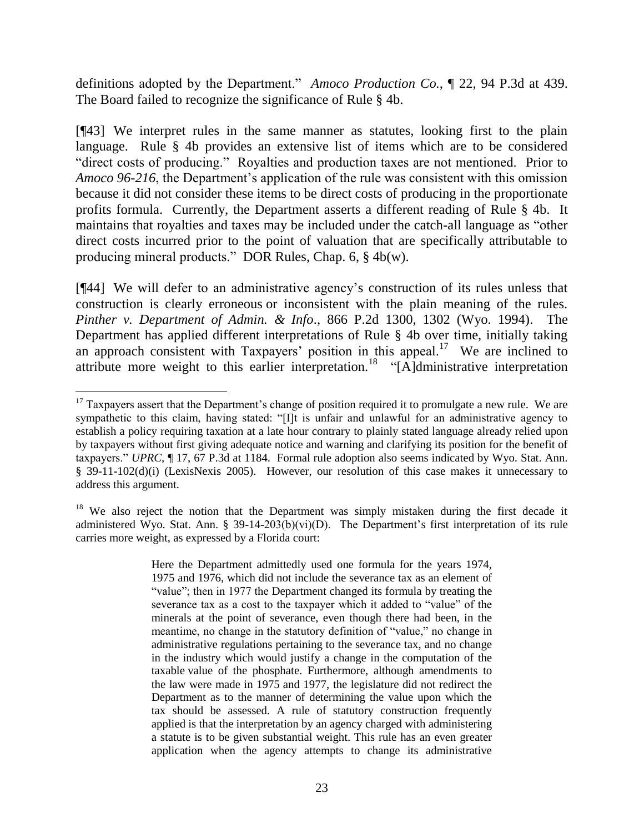definitions adopted by the Department." *Amoco Production Co.*, ¶ 22, 94 P.3d at 439. The Board failed to recognize the significance of Rule § 4b.

[¶43] We interpret rules in the same manner as statutes, looking first to the plain language. Rule § 4b provides an extensive list of items which are to be considered "direct costs of producing." Royalties and production taxes are not mentioned. Prior to *Amoco 96-216*, the Department's application of the rule was consistent with this omission because it did not consider these items to be direct costs of producing in the proportionate profits formula. Currently, the Department asserts a different reading of Rule § 4b. It maintains that royalties and taxes may be included under the catch-all language as "other direct costs incurred prior to the point of valuation that are specifically attributable to producing mineral products." DOR Rules, Chap. 6, § 4b(w).

[¶44] We will defer to an administrative agency"s construction of its rules unless that construction is clearly erroneous or inconsistent with the plain meaning of the rules. *Pinther v. Department of Admin. & Info*., 866 P.2d 1300, 1302 (Wyo. 1994). The Department has applied different interpretations of Rule § 4b over time, initially taking an approach consistent with Taxpayers' position in this appeal.<sup>17</sup> We are inclined to attribute more weight to this earlier interpretation.<sup>18</sup> "[A]dministrative interpretation

 $\overline{a}$  $17$  Taxpayers assert that the Department's change of position required it to promulgate a new rule. We are sympathetic to this claim, having stated: "[I]t is unfair and unlawful for an administrative agency to establish a policy requiring taxation at a late hour contrary to plainly stated language already relied upon by taxpayers without first giving adequate notice and warning and clarifying its position for the benefit of taxpayers." *UPRC*, ¶ 17, 67 P.3d at 1184. Formal rule adoption also seems indicated by Wyo. Stat. Ann. § 39-11-102(d)(i) (LexisNexis 2005). However, our resolution of this case makes it unnecessary to address this argument.

 $18$  We also reject the notion that the Department was simply mistaken during the first decade it administered Wyo. Stat. Ann. §  $39-14-203(b)(vi)(D)$ . The Department's first interpretation of its rule carries more weight, as expressed by a Florida court:

Here the Department admittedly used one formula for the years 1974, 1975 and 1976, which did not include the severance tax as an element of "value"; then in 1977 the Department changed its formula by treating the severance tax as a cost to the taxpayer which it added to "value" of the minerals at the point of severance, even though there had been, in the meantime, no change in the statutory definition of "value," no change in administrative regulations pertaining to the severance tax, and no change in the industry which would justify a change in the computation of the taxable value of the phosphate. Furthermore, although amendments to the law were made in 1975 and 1977, the legislature did not redirect the Department as to the manner of determining the value upon which the tax should be assessed. A rule of statutory construction frequently applied is that the interpretation by an agency charged with administering a statute is to be given substantial weight. This rule has an even greater application when the agency attempts to change its administrative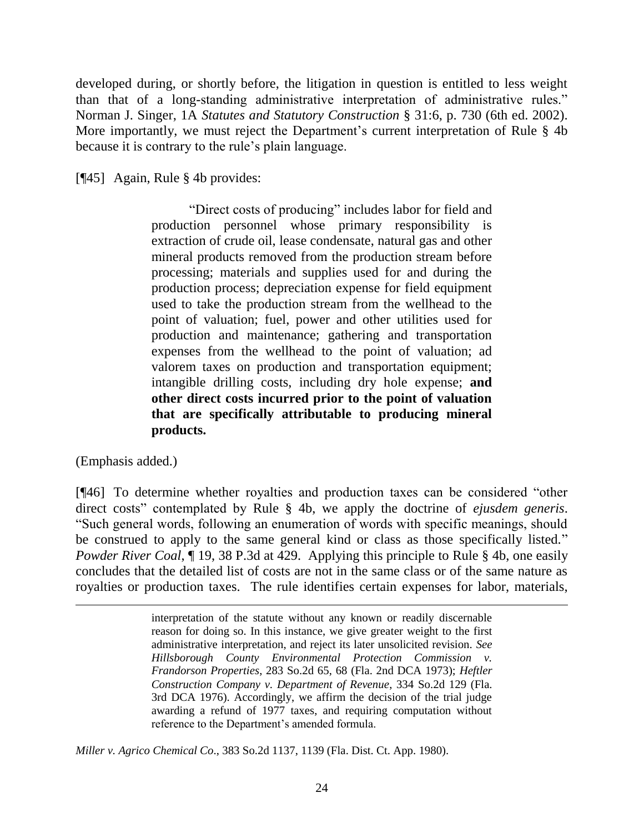developed during, or shortly before, the litigation in question is entitled to less weight than that of a long-standing administrative interpretation of administrative rules." Norman J. Singer, 1A *Statutes and Statutory Construction* § 31:6, p. 730 (6th ed. 2002). More importantly, we must reject the Department's current interpretation of Rule § 4b because it is contrary to the rule's plain language.

[¶45] Again, Rule § 4b provides:

"Direct costs of producing" includes labor for field and production personnel whose primary responsibility is extraction of crude oil, lease condensate, natural gas and other mineral products removed from the production stream before processing; materials and supplies used for and during the production process; depreciation expense for field equipment used to take the production stream from the wellhead to the point of valuation; fuel, power and other utilities used for production and maintenance; gathering and transportation expenses from the wellhead to the point of valuation; ad valorem taxes on production and transportation equipment; intangible drilling costs, including dry hole expense; **and other direct costs incurred prior to the point of valuation that are specifically attributable to producing mineral products.**

(Emphasis added.)

 $\overline{a}$ 

[¶46] To determine whether royalties and production taxes can be considered "other direct costs" contemplated by Rule § 4b, we apply the doctrine of *ejusdem generis*. "Such general words, following an enumeration of words with specific meanings, should be construed to apply to the same general kind or class as those specifically listed." *Powder River Coal*,  $\P$  19, 38 P.3d at 429. Applying this principle to Rule § 4b, one easily concludes that the detailed list of costs are not in the same class or of the same nature as royalties or production taxes. The rule identifies certain expenses for labor, materials,

*Miller v. Agrico Chemical Co*., 383 So.2d 1137, 1139 (Fla. Dist. Ct. App. 1980).

interpretation of the statute without any known or readily discernable reason for doing so. In this instance, we give greater weight to the first administrative interpretation, and reject its later unsolicited revision. *See Hillsborough County Environmental Protection Commission v. Frandorson Properties*, 283 So.2d 65, 68 (Fla. 2nd DCA 1973); *Heftler Construction Company v. Department of Revenue*, 334 So.2d 129 (Fla. 3rd DCA 1976). Accordingly, we affirm the decision of the trial judge awarding a refund of 1977 taxes, and requiring computation without reference to the Department's amended formula.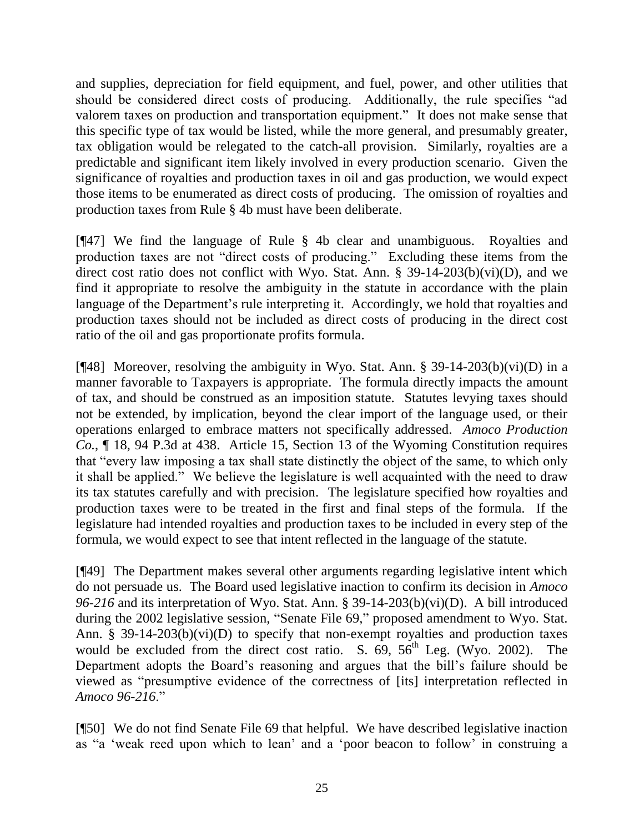and supplies, depreciation for field equipment, and fuel, power, and other utilities that should be considered direct costs of producing. Additionally, the rule specifies "ad valorem taxes on production and transportation equipment." It does not make sense that this specific type of tax would be listed, while the more general, and presumably greater, tax obligation would be relegated to the catch-all provision. Similarly, royalties are a predictable and significant item likely involved in every production scenario. Given the significance of royalties and production taxes in oil and gas production, we would expect those items to be enumerated as direct costs of producing. The omission of royalties and production taxes from Rule § 4b must have been deliberate.

[¶47] We find the language of Rule § 4b clear and unambiguous. Royalties and production taxes are not "direct costs of producing." Excluding these items from the direct cost ratio does not conflict with Wyo. Stat. Ann. §  $39-14-203(b)(vi)(D)$ , and we find it appropriate to resolve the ambiguity in the statute in accordance with the plain language of the Department's rule interpreting it. Accordingly, we hold that royalties and production taxes should not be included as direct costs of producing in the direct cost ratio of the oil and gas proportionate profits formula.

[ $[$ 48] Moreover, resolving the ambiguity in Wyo. Stat. Ann. § 39-14-203(b)(vi)(D) in a manner favorable to Taxpayers is appropriate. The formula directly impacts the amount of tax, and should be construed as an imposition statute. Statutes levying taxes should not be extended, by implication, beyond the clear import of the language used, or their operations enlarged to embrace matters not specifically addressed. *Amoco Production Co.*, ¶ 18, 94 P.3d at 438. Article 15, Section 13 of the Wyoming Constitution requires that "every law imposing a tax shall state distinctly the object of the same, to which only it shall be applied." We believe the legislature is well acquainted with the need to draw its tax statutes carefully and with precision. The legislature specified how royalties and production taxes were to be treated in the first and final steps of the formula. If the legislature had intended royalties and production taxes to be included in every step of the formula, we would expect to see that intent reflected in the language of the statute.

[¶49] The Department makes several other arguments regarding legislative intent which do not persuade us. The Board used legislative inaction to confirm its decision in *Amoco 96-216* and its interpretation of Wyo. Stat. Ann. § 39-14-203(b)(vi)(D). A bill introduced during the 2002 legislative session, "Senate File 69," proposed amendment to Wyo. Stat. Ann. § 39-14-203(b)(vi)(D) to specify that non-exempt royalties and production taxes would be excluded from the direct cost ratio. S.  $69, 56^{\text{th}}$  Leg. (Wyo. 2002). The Department adopts the Board"s reasoning and argues that the bill"s failure should be viewed as "presumptive evidence of the correctness of [its] interpretation reflected in *Amoco 96-216*."

[¶50] We do not find Senate File 69 that helpful. We have described legislative inaction as "a "weak reed upon which to lean" and a "poor beacon to follow" in construing a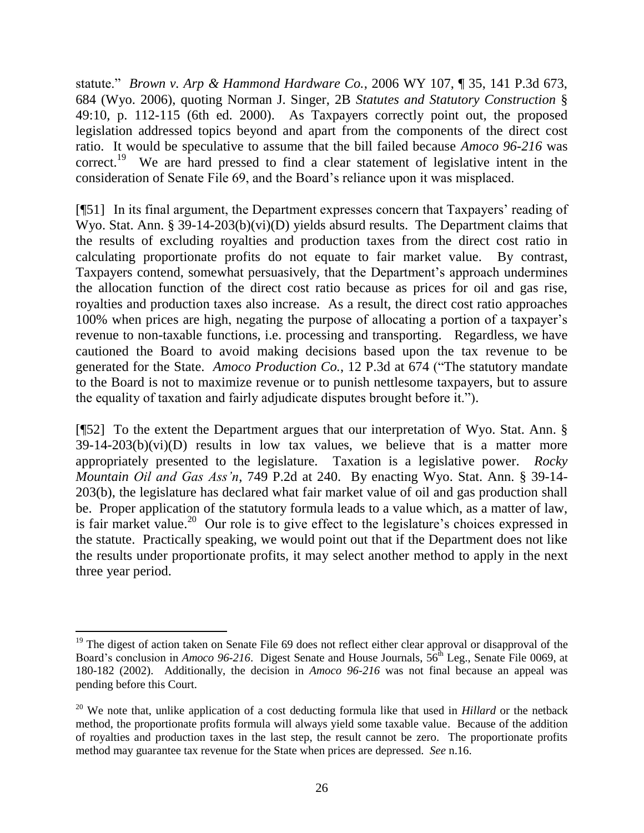statute." *Brown v. Arp & Hammond Hardware Co.*, 2006 WY 107, ¶ 35, 141 P.3d 673, 684 (Wyo. 2006), quoting Norman J. Singer, 2B *Statutes and Statutory Construction* § 49:10, p. 112-115 (6th ed. 2000). As Taxpayers correctly point out, the proposed legislation addressed topics beyond and apart from the components of the direct cost ratio. It would be speculative to assume that the bill failed because *Amoco 96-216* was correct.<sup>19</sup> We are hard pressed to find a clear statement of legislative intent in the consideration of Senate File 69, and the Board"s reliance upon it was misplaced.

[¶51] In its final argument, the Department expresses concern that Taxpayers" reading of Wyo. Stat. Ann. § 39-14-203(b)(vi)(D) yields absurd results. The Department claims that the results of excluding royalties and production taxes from the direct cost ratio in calculating proportionate profits do not equate to fair market value. By contrast, Taxpayers contend, somewhat persuasively, that the Department's approach undermines the allocation function of the direct cost ratio because as prices for oil and gas rise, royalties and production taxes also increase. As a result, the direct cost ratio approaches 100% when prices are high, negating the purpose of allocating a portion of a taxpayer"s revenue to non-taxable functions, i.e. processing and transporting. Regardless, we have cautioned the Board to avoid making decisions based upon the tax revenue to be generated for the State. *Amoco Production Co.*, 12 P.3d at 674 ("The statutory mandate to the Board is not to maximize revenue or to punish nettlesome taxpayers, but to assure the equality of taxation and fairly adjudicate disputes brought before it.").

[¶52] To the extent the Department argues that our interpretation of Wyo. Stat. Ann. §  $39-14-203(b)(vi)(D)$  results in low tax values, we believe that is a matter more appropriately presented to the legislature. Taxation is a legislative power. *Rocky Mountain Oil and Gas Ass'n*, 749 P.2d at 240. By enacting Wyo. Stat. Ann. § 39-14- 203(b), the legislature has declared what fair market value of oil and gas production shall be. Proper application of the statutory formula leads to a value which, as a matter of law, is fair market value.<sup>20</sup> Our role is to give effect to the legislature's choices expressed in the statute. Practically speaking, we would point out that if the Department does not like the results under proportionate profits, it may select another method to apply in the next three year period.

 $\overline{a}$ 

<sup>&</sup>lt;sup>19</sup> The digest of action taken on Senate File 69 does not reflect either clear approval or disapproval of the Board's conclusion in *Amoco 96-216*. Digest Senate and House Journals, 56<sup>th</sup> Leg., Senate File 0069, at 180-182 (2002). Additionally, the decision in *Amoco 96-216* was not final because an appeal was pending before this Court.

<sup>&</sup>lt;sup>20</sup> We note that, unlike application of a cost deducting formula like that used in *Hillard* or the netback method, the proportionate profits formula will always yield some taxable value. Because of the addition of royalties and production taxes in the last step, the result cannot be zero. The proportionate profits method may guarantee tax revenue for the State when prices are depressed. *See* n.16.